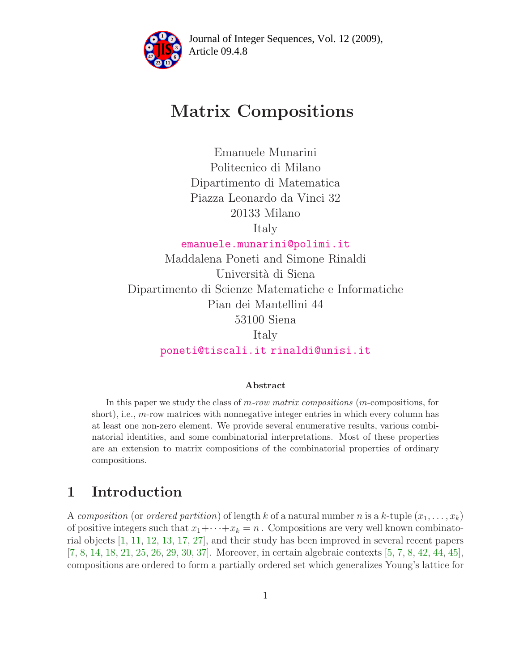

Article 09.4.8 **<sup>2</sup>** Journal of Integer Sequences, Vol. 12 (2009),

# Matrix Compositions

Emanuele Munarini Politecnico di Milano Dipartimento di Matematica Piazza Leonardo da Vinci 32 20133 Milano

Italy

[emanuele.munarini@polimi.it](mailto:emanuele.munarini@polimi.it)

Maddalena Poneti and Simone Rinaldi Universit`a di Siena Dipartimento di Scienze Matematiche e Informatiche Pian dei Mantellini 44 53100 Siena Italy [poneti@tiscali.it](mailto:poneti@tiscali.it) [rinaldi@unisi.it](mailto:rinaldi@unisi.it)

#### Abstract

In this paper we study the class of m-row matrix compositions (m-compositions, for short), i.e.,  $m$ -row matrices with nonnegative integer entries in which every column has at least one non-zero element. We provide several enumerative results, various combinatorial identities, and some combinatorial interpretations. Most of these properties are an extension to matrix compositions of the combinatorial properties of ordinary compositions.

# 1 Introduction

A composition (or ordered partition) of length k of a natural number n is a k-tuple  $(x_1, \ldots, x_k)$ of positive integers such that  $x_1 + \cdots + x_k = n$ . Compositions are very well known combinatorial objects [\[1,](#page-24-0) [11,](#page-24-1) [12,](#page-25-0) [13,](#page-25-1) [17,](#page-25-2) [27\]](#page-25-3), and their study has been improved in several recent papers [\[7,](#page-24-2) [8,](#page-24-3) [14,](#page-25-4) [18,](#page-25-5) [21,](#page-25-6) [25,](#page-25-7) [26,](#page-25-8) [29,](#page-26-0) [30,](#page-26-1) [37\]](#page-26-2). Moreover, in certain algebraic contexts [\[5,](#page-24-4) [7,](#page-24-2) [8,](#page-24-3) [42,](#page-26-3) [44,](#page-26-4) [45\]](#page-26-5), compositions are ordered to form a partially ordered set which generalizes Young's lattice for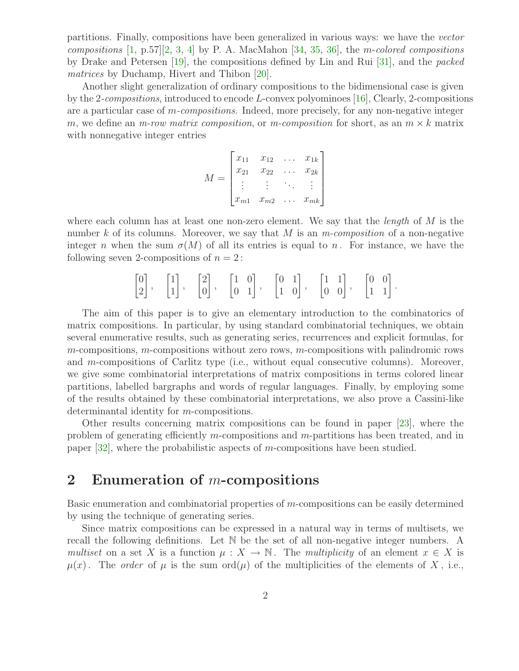partitions. Finally, compositions have been generalized in various ways: we have the vector compositions  $[1, p.57]$  $[1, p.57]$ ,  $[2, 3, 4]$  $[2, 3, 4]$  $[2, 3, 4]$  $[2, 3, 4]$  $[2, 3, 4]$  by P. A. MacMahon  $[34, 35, 36]$  $[34, 35, 36]$  $[34, 35, 36]$  $[34, 35, 36]$ , the m-colored compositions by Drake and Petersen [\[19\]](#page-25-9), the compositions defined by Lin and Rui [\[31\]](#page-26-9), and the packed matrices by Duchamp, Hivert and Thibon [\[20\]](#page-25-10).

Another slight generalization of ordinary compositions to the bidimensional case is given by the 2-compositions, introduced to encode L-convex polyominoes [\[16\]](#page-25-11), Clearly, 2-compositions are a particular case of m-compositions. Indeed, more precisely, for any non-negative integer m, we define an m-row matrix composition, or m-composition for short, as an  $m \times k$  matrix with nonnegative integer entries

$$
M = \begin{bmatrix} x_{11} & x_{12} & \dots & x_{1k} \\ x_{21} & x_{22} & \dots & x_{2k} \\ \vdots & \vdots & \ddots & \vdots \\ x_{m1} & x_{m2} & \dots & x_{mk} \end{bmatrix}
$$

where each column has at least one non-zero element. We say that the *length* of  $M$  is the number k of its columns. Moreover, we say that M is an  $m$ -composition of a non-negative integer n when the sum  $\sigma(M)$  of all its entries is equal to n. For instance, we have the following seven 2-compositions of  $n = 2$ :

$$
\begin{bmatrix} 0 \\ 2 \end{bmatrix}, \quad \begin{bmatrix} 1 \\ 1 \end{bmatrix}, \quad \begin{bmatrix} 2 \\ 0 \end{bmatrix}, \quad \begin{bmatrix} 1 & 0 \\ 0 & 1 \end{bmatrix}, \quad \begin{bmatrix} 0 & 1 \\ 1 & 0 \end{bmatrix}, \quad \begin{bmatrix} 1 & 1 \\ 0 & 0 \end{bmatrix}, \quad \begin{bmatrix} 0 & 0 \\ 1 & 1 \end{bmatrix}.
$$

The aim of this paper is to give an elementary introduction to the combinatorics of matrix compositions. In particular, by using standard combinatorial techniques, we obtain several enumerative results, such as generating series, recurrences and explicit formulas, for  $m$ -compositions,  $m$ -compositions without zero rows,  $m$ -compositions with palindromic rows and m-compositions of Carlitz type (i.e., without equal consecutive columns). Moreover, we give some combinatorial interpretations of matrix compositions in terms colored linear partitions, labelled bargraphs and words of regular languages. Finally, by employing some of the results obtained by these combinatorial interpretations, we also prove a Cassini-like determinantal identity for m-compositions.

Other results concerning matrix compositions can be found in paper [\[23\]](#page-25-12), where the problem of generating efficiently m-compositions and m-partitions has been treated, and in paper [\[32\]](#page-26-10), where the probabilistic aspects of m-compositions have been studied.

### 2 Enumeration of  $m$ -compositions

Basic enumeration and combinatorial properties of m-compositions can be easily determined by using the technique of generating series.

Since matrix compositions can be expressed in a natural way in terms of multisets, we recall the following definitions. Let N be the set of all non-negative integer numbers. A multiset on a set X is a function  $\mu : X \to \mathbb{N}$ . The multiplicity of an element  $x \in X$  is  $\mu(x)$ . The *order* of  $\mu$  is the sum ord( $\mu$ ) of the multiplicities of the elements of X, i.e.,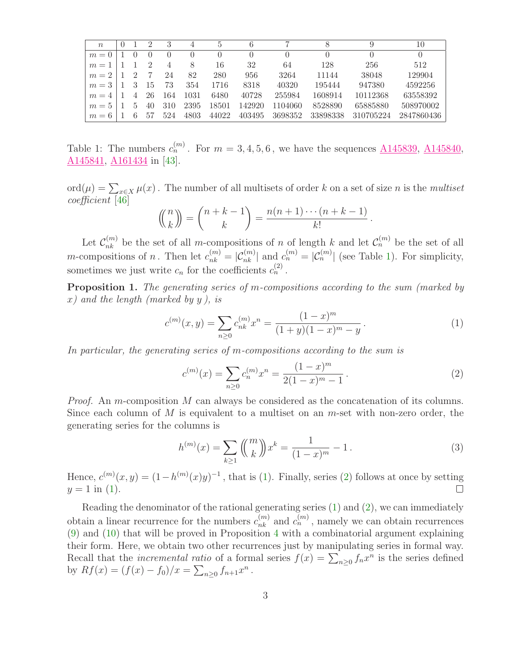| $n_{\rm c}$ |                |    |     |                  | Ð        |        |         | 8        |           | 10         |
|-------------|----------------|----|-----|------------------|----------|--------|---------|----------|-----------|------------|
| $m=0$       |                |    |     | $\left( \right)$ | $\theta$ |        |         |          |           |            |
| $m=1$       |                |    |     | 8                | 16       | 32     | 64      | 128      | 256       | 512        |
| $m=2$       |                |    | 24  | 82               | 280      | 956    | 3264    | 11144    | 38048     | 129904     |
| $m=3$       |                | 15 | 73  | 354              | 1716     | 8318   | 40320   | 195444   | 947380    | 4592256    |
| $m =$       | $\overline{4}$ | 26 | 164 | 1031             | 6480     | 40728  | 255984  | 1608914  | 10112368  | 63558392   |
| $m=5$       | $\mathcal{D}$  | 40 | 310 | 2395             | 18501    | 142920 | 1104060 | 8528890  | 65885880  | 508970002  |
| $m =$<br>h  |                | 57 | 524 | 4803             | 44022    | 403495 | 3698352 | 33898338 | 310705224 | 2847860436 |

<span id="page-2-0"></span>Table 1: The numbers  $c_n^{(m)}$ . For  $m = 3, 4, 5, 6$ , we have the sequences  $\underline{\text{A145839}}$ ,  $\underline{\text{A145840}}$ , [A145841,](http://www.research.att.com/cgi-bin/access.cgi/as/~njas/sequences/eisA.cgi?Anum=A145841) [A161434](http://www.research.att.com/cgi-bin/access.cgi/as/~njas/sequences/eisA.cgi?Anum=A161434) in [\[43\]](#page-26-11).

ord $(\mu) = \sum_{x \in X} \mu(x)$ . The number of all multisets of order k on a set of size n is the multiset coefficient [\[46\]](#page-27-0)

$$
\binom{n}{k} = \binom{n+k-1}{k} = \frac{n(n+1)\cdots(n+k-1)}{k!}.
$$

Let  $\mathcal{C}_{nk}^{(m)}$  be the set of all m-compositions of n of length k and let  $\mathcal{C}_n^{(m)}$  be the set of all *m*-compositions of *n*. Then let  $c_{nk}^{(m)} = |\mathcal{C}_{nk}^{(m)}|$  and  $c_n^{(m)} = |\mathcal{C}_{n}^{(m)}|$  (see Table [1\)](#page-2-0). For simplicity, sometimes we just write  $c_n$  for the coefficients  $c_n^{(2)}$ .

Proposition 1. The generating series of m-compositions according to the sum (marked by  $x)$  and the length (marked by y), is

<span id="page-2-1"></span>
$$
c^{(m)}(x,y) = \sum_{n\geq 0} c_{nk}^{(m)} x^n = \frac{(1-x)^m}{(1+y)(1-x)^m - y}.
$$
 (1)

In particular, the generating series of m-compositions according to the sum is

<span id="page-2-2"></span>
$$
c^{(m)}(x) = \sum_{n\geq 0} c_n^{(m)} x^n = \frac{(1-x)^m}{2(1-x)^m - 1}.
$$
 (2)

*Proof.* An m-composition M can always be considered as the concatenation of its columns. Since each column of  $M$  is equivalent to a multiset on an  $m$ -set with non-zero order, the generating series for the columns is

<span id="page-2-3"></span>
$$
h^{(m)}(x) = \sum_{k \ge 1} \binom{m}{k} x^k = \frac{1}{(1-x)^m} - 1.
$$
 (3)

Hence,  $c^{(m)}(x,y) = (1 - h^{(m)}(x)y)^{-1}$ , that is [\(1\)](#page-2-1). Finally, series [\(2\)](#page-2-2) follows at once by setting  $y = 1$  in [\(1\)](#page-2-1).  $\Box$ 

Reading the denominator of the rational generating series  $(1)$  and  $(2)$ , we can immediately obtain a linear recurrence for the numbers  $c_{nk}^{(m)}$  and  $c_n^{(m)}$ , namely we can obtain recurrences [\(9\)](#page-5-0) and [\(10\)](#page-5-1) that will be proved in Proposition [4](#page-4-0) with a combinatorial argument explaining their form. Here, we obtain two other recurrences just by manipulating series in formal way. Recall that the *incremental ratio* of a formal series  $f(x) = \sum_{n\geq 0} f_n x^n$  is the series defined by  $Rf(x) = (f(x) - f_0)/x = \sum_{n \geq 0} f_{n+1}x^n$ .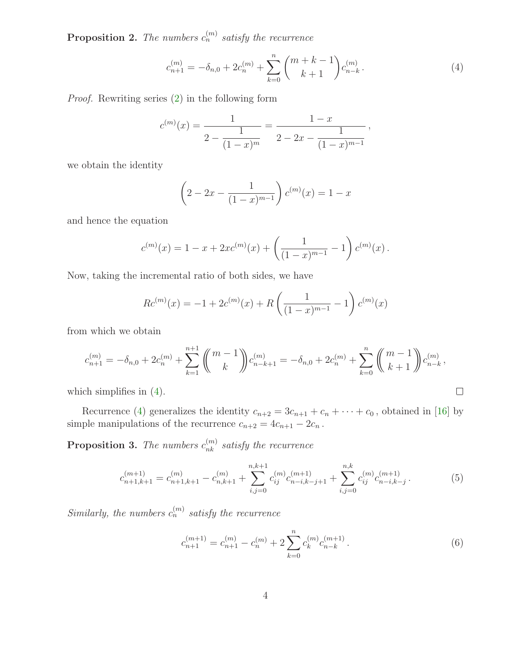**Proposition 2.** The numbers  $c_n^{(m)}$  satisfy the recurrence

<span id="page-3-0"></span>
$$
c_{n+1}^{(m)} = -\delta_{n,0} + 2c_n^{(m)} + \sum_{k=0}^n \binom{m+k-1}{k+1} c_{n-k}^{(m)}.
$$
 (4)

Proof. Rewriting series [\(2\)](#page-2-2) in the following form

$$
c^{(m)}(x) = \frac{1}{2 - \frac{1}{(1 - x)^m}} = \frac{1 - x}{2 - 2x - \frac{1}{(1 - x)^{m-1}}},
$$

we obtain the identity

$$
\left(2 - 2x - \frac{1}{(1-x)^{m-1}}\right) c^{(m)}(x) = 1 - x
$$

and hence the equation

$$
c^{(m)}(x) = 1 - x + 2xc^{(m)}(x) + \left(\frac{1}{(1-x)^{m-1}} - 1\right)c^{(m)}(x).
$$

Now, taking the incremental ratio of both sides, we have

$$
Rc^{(m)}(x) = -1 + 2c^{(m)}(x) + R\left(\frac{1}{(1-x)^{m-1}} - 1\right)c^{(m)}(x)
$$

from which we obtain

$$
c_{n+1}^{(m)} = -\delta_{n,0} + 2c_n^{(m)} + \sum_{k=1}^{n+1} \left( \binom{m-1}{k} c_{n-k+1}^{(m)} = -\delta_{n,0} + 2c_n^{(m)} + \sum_{k=0}^n \left( \binom{m-1}{k+1} c_{n-k}^{(m)}, \right) c_{n-k}^{(m)}.
$$
  
ch simplifies in (4).

which simplifies in [\(4\)](#page-3-0).

Recurrence [\(4\)](#page-3-0) generalizes the identity  $c_{n+2} = 3c_{n+1} + c_n + \cdots + c_0$ , obtained in [\[16\]](#page-25-11) by simple manipulations of the recurrence  $c_{n+2} = 4c_{n+1} - 2c_n$ .

**Proposition 3.** The numbers  $c_{nk}^{(m)}$  satisfy the recurrence

$$
c_{n+1,k+1}^{(m+1)} = c_{n+1,k+1}^{(m)} - c_{n,k+1}^{(m)} + \sum_{i,j=0}^{n,k+1} c_{ij}^{(m)} c_{n-i,k-j+1}^{(m+1)} + \sum_{i,j=0}^{n,k} c_{ij}^{(m)} c_{n-i,k-j}^{(m+1)}.
$$
 (5)

Similarly, the numbers  $c_n^{(m)}$  satisfy the recurrence

<span id="page-3-2"></span><span id="page-3-1"></span>
$$
c_{n+1}^{(m+1)} = c_{n+1}^{(m)} - c_n^{(m)} + 2 \sum_{k=0}^{n} c_k^{(m)} c_{n-k}^{(m+1)}.
$$
 (6)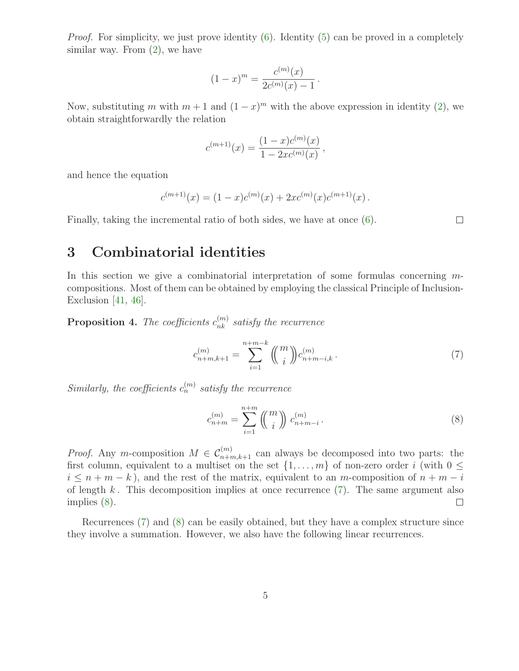Proof. For simplicity, we just prove identity [\(6\)](#page-3-1). Identity [\(5\)](#page-3-2) can be proved in a completely similar way. From  $(2)$ , we have

$$
(1-x)^m = \frac{c^{(m)}(x)}{2c^{(m)}(x) - 1}.
$$

Now, substituting m with  $m+1$  and  $(1-x)^m$  with the above expression in identity [\(2\)](#page-2-2), we obtain straightforwardly the relation

$$
c^{(m+1)}(x) = \frac{(1-x)c^{(m)}(x)}{1-2xc^{(m)}(x)},
$$

and hence the equation

$$
c^{(m+1)}(x) = (1-x)c^{(m)}(x) + 2xc^{(m)}(x)c^{(m+1)}(x).
$$

Finally, taking the incremental ratio of both sides, we have at once [\(6\)](#page-3-1).

 $\Box$ 

# 3 Combinatorial identities

In this section we give a combinatorial interpretation of some formulas concerning mcompositions. Most of them can be obtained by employing the classical Principle of Inclusion-Exclusion  $[41, 46]$  $[41, 46]$ .

<span id="page-4-0"></span>**Proposition 4.** The coefficients  $c_{nk}^{(m)}$  satisfy the recurrence

<span id="page-4-1"></span>
$$
c_{n+m,k+1}^{(m)} = \sum_{i=1}^{n+m-k} \binom{m}{i} c_{n+m-i,k}^{(m)}.
$$
 (7)

Similarly, the coefficients  $c_n^{(m)}$  satisfy the recurrence

<span id="page-4-2"></span>
$$
c_{n+m}^{(m)} = \sum_{i=1}^{n+m} \binom{m}{i} c_{n+m-i}^{(m)}.
$$
 (8)

*Proof.* Any m-composition  $M \in C_{n+m,k+1}^{(m)}$  can always be decomposed into two parts: the first column, equivalent to a multiset on the set  $\{1, \ldots, m\}$  of non-zero order i (with  $0 \leq$  $i \leq n+m-k$ , and the rest of the matrix, equivalent to an m-composition of  $n+m-i$ of length  $k$ . This decomposition implies at once recurrence  $(7)$ . The same argument also implies [\(8\)](#page-4-2).  $\Box$ 

Recurrences [\(7\)](#page-4-1) and [\(8\)](#page-4-2) can be easily obtained, but they have a complex structure since they involve a summation. However, we also have the following linear recurrences.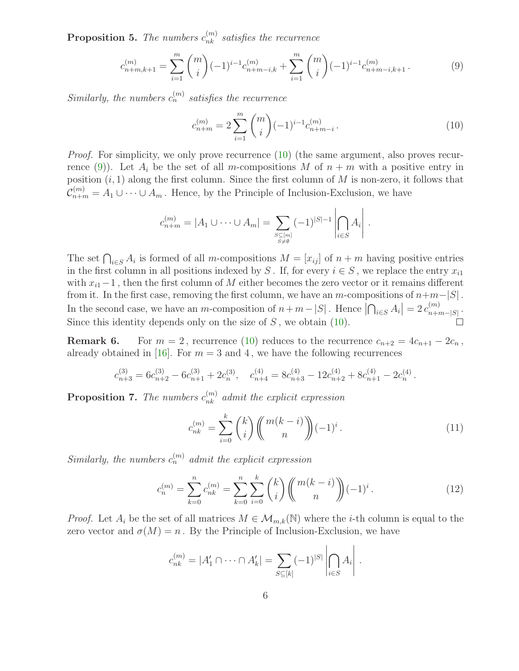**Proposition 5.** The numbers  $c_{nk}^{(m)}$  satisfies the recurrence

$$
c_{n+m,k+1}^{(m)} = \sum_{i=1}^{m} \binom{m}{i} (-1)^{i-1} c_{n+m-i,k}^{(m)} + \sum_{i=1}^{m} \binom{m}{i} (-1)^{i-1} c_{n+m-i,k+1}^{(m)}.
$$
 (9)

Similarly, the numbers  $c_n^{(m)}$  satisfies the recurrence

<span id="page-5-1"></span><span id="page-5-0"></span>
$$
c_{n+m}^{(m)} = 2\sum_{i=1}^{m} \binom{m}{i} (-1)^{i-1} c_{n+m-i}^{(m)}.
$$
 (10)

*Proof.* For simplicity, we only prove recurrence [\(10\)](#page-5-1) (the same argument, also proves recur-rence [\(9\)](#page-5-0)). Let  $A_i$  be the set of all m-compositions M of  $n + m$  with a positive entry in position  $(i, 1)$  along the first column. Since the first column of M is non-zero, it follows that  $\mathcal{C}_{n+m}^{(m)} = A_1 \cup \cdots \cup A_m$ . Hence, by the Principle of Inclusion-Exclusion, we have

$$
c_{n+m}^{(m)} = |A_1 \cup \cdots \cup A_m| = \sum_{\substack{S \subseteq [m] \\ S \neq \emptyset}} (-1)^{|S|-1} \left| \bigcap_{i \in S} A_i \right|.
$$

The set  $\bigcap_{i\in S} A_i$  is formed of all m-compositions  $M = [x_{ij}]$  of  $n + m$  having positive entries in the first column in all positions indexed by S. If, for every  $i \in S$ , we replace the entry  $x_{i1}$ with  $x_{i1}-1$ , then the first column of M either becomes the zero vector or it remains different from it. In the first case, removing the first column, we have an m-compositions of  $n+m-|S|$ . In the second case, we have an *m*-composition of  $n+m-|S|$ . Hence  $\left|\bigcap_{i\in S} A_i\right|=2 c_{n+n}^{(m)}$  $\frac{(m)}{n+m-|S|}$ . Since this identity depends only on the size of  $S$ , we obtain [\(10\)](#page-5-1).

**Remark 6.** For  $m = 2$ , recurrence [\(10\)](#page-5-1) reduces to the recurrence  $c_{n+2} = 4c_{n+1} - 2c_n$ , already obtained in [\[16\]](#page-25-11). For  $m = 3$  and 4, we have the following recurrences

$$
c_{n+3}^{(3)} = 6c_{n+2}^{(3)} - 6c_{n+1}^{(3)} + 2c_n^{(3)}, \quad c_{n+4}^{(4)} = 8c_{n+3}^{(4)} - 12c_{n+2}^{(4)} + 8c_{n+1}^{(4)} - 2c_n^{(4)}.
$$

<span id="page-5-3"></span>**Proposition 7.** The numbers  $c_{nk}^{(m)}$  admit the explicit expression

<span id="page-5-4"></span><span id="page-5-2"></span>
$$
c_{nk}^{(m)} = \sum_{i=0}^{k} {k \choose i} \left( {m(k-i) \choose n} (-1)^i \right). \tag{11}
$$

Similarly, the numbers  $c_n^{(m)}$  admit the explicit expression

$$
c_n^{(m)} = \sum_{k=0}^n c_{nk}^{(m)} = \sum_{k=0}^n \sum_{i=0}^k {k \choose i} \binom{m(k-i)}{n} (-1)^i.
$$
 (12)

*Proof.* Let  $A_i$  be the set of all matrices  $M \in \mathcal{M}_{m,k}(\mathbb{N})$  where the *i*-th column is equal to the zero vector and  $\sigma(M) = n$ . By the Principle of Inclusion-Exclusion, we have

$$
c_{nk}^{(m)} = |A'_1 \cap \dots \cap A'_k| = \sum_{S \subseteq [k]} (-1)^{|S|} \left| \bigcap_{i \in S} A_i \right|.
$$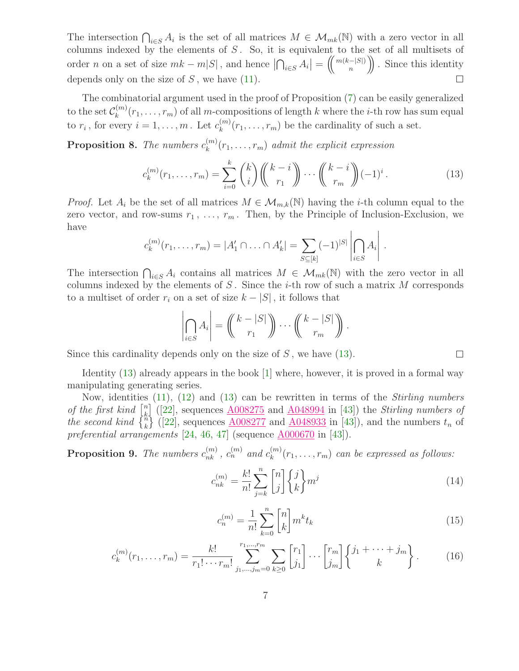The intersection  $\bigcap_{i\in S} A_i$  is the set of all matrices  $M \in \mathcal{M}_{mk}(\mathbb{N})$  with a zero vector in all columns indexed by the elements of  $S$ . So, it is equivalent to the set of all multisets of order *n* on a set of size  $mk - m|S|$ , and hence  $\left| \bigcap_{i \in S} A_i \right| = \left( \binom{m(k-|S|)}{n} \right)$  $\binom{-|S|}{n}$ . Since this identity depends only on the size of  $S$ , we have  $(11)$ .  $\Box$ 

The combinatorial argument used in the proof of Proposition [\(7\)](#page-5-3) can be easily generalized to the set  $\mathcal{C}_k^{(m)}$  $k_k^{(m)}(r_1,\ldots,r_m)$  of all m-compositions of length k where the *i*-th row has sum equal to  $r_i$ , for every  $i = 1, \ldots, m$ . Let  $c_k^{(m)}$  $\binom{m}{k}(r_1,\ldots,r_m)$  be the cardinality of such a set.

**Proposition 8.** The numbers  $c_k^{(m)}$  $\binom{m}{k}(r_1,\ldots,r_m)$  admit the explicit expression

<span id="page-6-0"></span>
$$
c_k^{(m)}(r_1, \dots, r_m) = \sum_{i=0}^k {k \choose i} {k-i \choose r_1} \cdots {k-i \choose r_m} (-1)^i.
$$
 (13)

*Proof.* Let  $A_i$  be the set of all matrices  $M \in \mathcal{M}_{m,k}(\mathbb{N})$  having the *i*-th column equal to the zero vector, and row-sums  $r_1, \ldots, r_m$ . Then, by the Principle of Inclusion-Exclusion, we have  $\mathbf{L}$  $\overline{1}$ 

$$
c_k^{(m)}(r_1,\ldots,r_m) = |A'_1 \cap \ldots \cap A'_k| = \sum_{S \subseteq [k]} (-1)^{|S|} \left| \bigcap_{i \in S} A_i \right|.
$$

The intersection  $\bigcap_{i\in S} A_i$  contains all matrices  $M \in \mathcal{M}_{mk}(\mathbb{N})$  with the zero vector in all columns indexed by the elements of  $S$ . Since the *i*-th row of such a matrix  $M$  corresponds to a multiset of order  $r_i$  on a set of size  $k - |S|$ , it follows that

$$
\left|\bigcap_{i\in S} A_i\right| = \left(\hspace{-1mm} \binom{k-|S|}{r_1}\hspace{-1mm} \right)\hspace{-1mm}\cdots\hspace{-1mm} \left(\hspace{-1mm} \binom{k-|S|}{r_m}\hspace{-1mm} \right).
$$

Since this cardinality depends only on the size of  $S$ , we have  $(13)$ .

Identity [\(13\)](#page-6-0) already appears in the book [\[1\]](#page-24-0) where, however, it is proved in a formal way manipulating generating series.

Now, identities [\(11\)](#page-5-2), [\(12\)](#page-5-4) and [\(13\)](#page-6-0) can be rewritten in terms of the Stirling numbers of the first kind  $\begin{bmatrix} n \\ k \end{bmatrix}$  $\mathbb{R}^n$  ([\[22\]](#page-25-13), sequences  $\underline{\text{A}008275}$  and  $\underline{\text{A}048994}$  in [\[43\]](#page-26-11)) the *Stirling numbers of* the second kind  $\begin{Bmatrix} n \\ k \end{Bmatrix}$  ([\[22\]](#page-25-13), sequences  $\underline{A008277}$  $\underline{A008277}$  $\underline{A008277}$  and  $\underline{A048933}$  $\underline{A048933}$  $\underline{A048933}$  in [\[43\]](#page-26-11)), and the numbers  $t_n$  of preferential arrangements  $[24, 46, 47]$  $[24, 46, 47]$  $[24, 46, 47]$  $[24, 46, 47]$  $[24, 46, 47]$  (sequence  $\underline{\text{A}000670}$  in  $[43]$ ).

<span id="page-6-3"></span><span id="page-6-2"></span>**Proposition 9.** The numbers  $c_{nk}^{(m)}$ ,  $c_n^{(m)}$  and  $c_k^{(m)}$  $\binom{m}{k}(r_1,\ldots,r_m)$  can be expressed as follows:

$$
c_{nk}^{(m)} = \frac{k!}{n!} \sum_{j=k}^{n} \begin{bmatrix} n \\ j \end{bmatrix} \begin{Bmatrix} j \\ k \end{Bmatrix} m^j
$$
 (14)

$$
c_n^{(m)} = \frac{1}{n!} \sum_{k=0}^n \binom{n}{k} m^k t_k
$$
\n(15)

$$
c_k^{(m)}(r_1, \dots, r_m) = \frac{k!}{r_1! \cdots r_m!} \sum_{j_1, \dots, j_m = 0}^{r_1, \dots, r_m} \sum_{k \ge 0} \begin{bmatrix} r_1 \\ j_1 \end{bmatrix} \cdots \begin{bmatrix} r_m \\ j_m \end{bmatrix} \begin{Bmatrix} j_1 + \cdots + j_m \\ k \end{Bmatrix}.
$$
 (16)

<span id="page-6-1"></span> $\Box$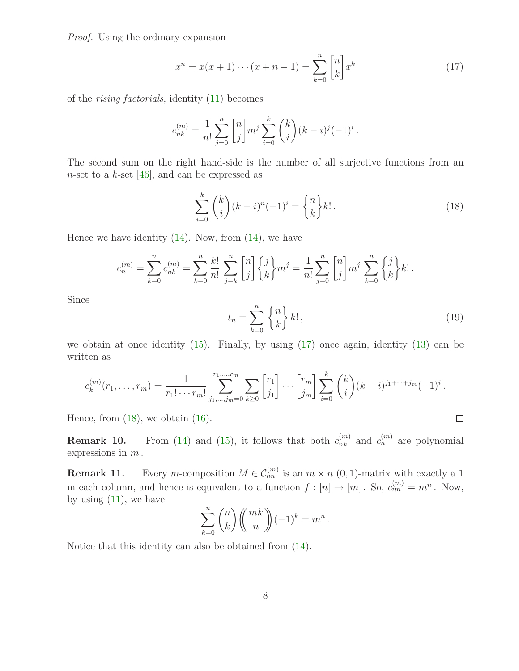Proof. Using the ordinary expansion

<span id="page-7-0"></span>
$$
x^{\overline{n}} = x(x+1)\cdots(x+n-1) = \sum_{k=0}^{n} \binom{n}{k} x^{k}
$$
 (17)

of the rising factorials, identity [\(11\)](#page-5-2) becomes

$$
c_{nk}^{(m)} = \frac{1}{n!} \sum_{j=0}^{n} \binom{n}{j} m^j \sum_{i=0}^{k} \binom{k}{i} (k-i)^j (-1)^i.
$$

The second sum on the right hand-side is the number of all surjective functions from an n-set to a k-set  $[46]$ , and can be expressed as

<span id="page-7-1"></span>
$$
\sum_{i=0}^{k} \binom{k}{i} (k-i)^{n} (-1)^{i} = \binom{n}{k} k!.
$$
\n(18)

Hence we have identity  $(14)$ . Now, from  $(14)$ , we have

$$
c_n^{(m)} = \sum_{k=0}^n c_{nk}^{(m)} = \sum_{k=0}^n \frac{k!}{n!} \sum_{j=k}^n {n \choose j} \left\{ j \atop k \right\} m^j = \frac{1}{n!} \sum_{j=0}^n {n \brack j} m^j \sum_{k=0}^n \left\{ j \atop k \right\} k! \, .
$$

<span id="page-7-2"></span>Since

$$
t_n = \sum_{k=0}^n \begin{Bmatrix} n \\ k \end{Bmatrix} k!,\tag{19}
$$

 $\Box$ 

we obtain at once identity [\(15\)](#page-6-2). Finally, by using [\(17\)](#page-7-0) once again, identity [\(13\)](#page-6-0) can be written as

$$
c_k^{(m)}(r_1,\ldots,r_m) = \frac{1}{r_1! \cdots r_m!} \sum_{j_1,\ldots,j_m=0}^{r_1,\ldots,r_m} \sum_{k\geq 0} {r_1 \brack j_1} \cdots {r_m \brack j_m} \sum_{i=0}^k {k \choose i} (k-i)^{j_1+\cdots+j_m} (-1)^i.
$$

Hence, from  $(18)$ , we obtain  $(16)$ .

**Remark 10.** From [\(14\)](#page-6-1) and [\(15\)](#page-6-2), it follows that both  $c_{nk}^{(m)}$  and  $c_n^{(m)}$  are polynomial expressions in  $m$ .

**Remark 11.** Every *m*-composition  $M \in \mathcal{C}_{nn}^{(m)}$  is an  $m \times n$  (0, 1)-matrix with exactly a 1 in each column, and hence is equivalent to a function  $f: [n] \to [m]$ . So,  $c_{nn}^{(m)} = m^n$ . Now, by using  $(11)$ , we have

$$
\sum_{k=0}^{n} \binom{n}{k} \binom{mk}{n} (-1)^k = m^n.
$$

Notice that this identity can also be obtained from [\(14\)](#page-6-1).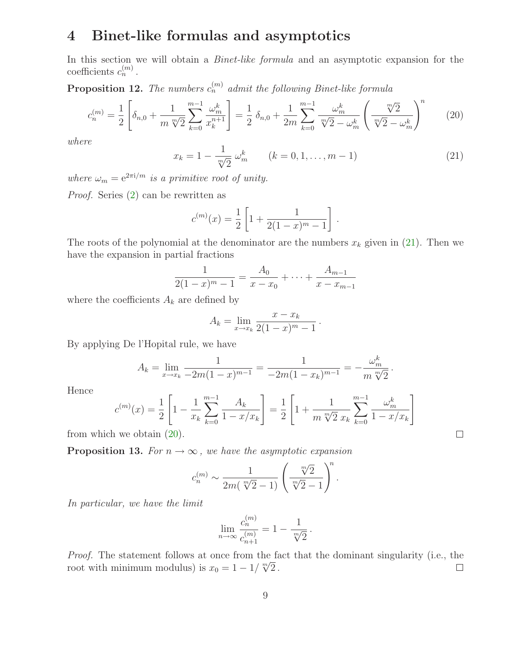# 4 Binet-like formulas and asymptotics

In this section we will obtain a *Binet-like formula* and an asymptotic expansion for the coefficients  $c_n^{(m)}$ .

**Proposition 12.** The numbers  $c_n^{(m)}$  admit the following Binet-like formula

$$
c_n^{(m)} = \frac{1}{2} \left[ \delta_{n,0} + \frac{1}{m} \frac{m-1}{\sqrt[n]{2}} \frac{\omega_m^k}{k=0} \frac{1}{x_k^{n+1}} \right] = \frac{1}{2} \delta_{n,0} + \frac{1}{2m} \sum_{k=0}^{m-1} \frac{\omega_m^k}{\sqrt[n]{2} - \omega_m^k} \left( \frac{\sqrt[n]{2}}{\sqrt[n]{2} - \omega_m^k} \right)^n \tag{20}
$$

<span id="page-8-0"></span>where

<span id="page-8-1"></span>
$$
x_k = 1 - \frac{1}{\sqrt[m]{2}} \omega_m^k \qquad (k = 0, 1, \dots, m - 1)
$$
 (21)

where  $\omega_m = e^{2\pi i/m}$  is a primitive root of unity.

Proof. Series [\(2\)](#page-2-2) can be rewritten as

$$
c^{(m)}(x) = \frac{1}{2} \left[ 1 + \frac{1}{2(1-x)^m - 1} \right].
$$

The roots of the polynomial at the denominator are the numbers  $x_k$  given in [\(21\)](#page-8-0). Then we have the expansion in partial fractions

$$
\frac{1}{2(1-x)^m - 1} = \frac{A_0}{x - x_0} + \dots + \frac{A_{m-1}}{x - x_{m-1}}
$$

where the coefficients  $A_k$  are defined by

$$
A_k = \lim_{x \to x_k} \frac{x - x_k}{2(1 - x)^m - 1}.
$$

By applying De l'Hopital rule, we have

$$
A_k = \lim_{x \to x_k} \frac{1}{-2m(1-x)^{m-1}} = \frac{1}{-2m(1-x_k)^{m-1}} = -\frac{\omega_m^k}{m \sqrt[m]{2}}.
$$

Hence

$$
c^{(m)}(x) = \frac{1}{2} \left[ 1 - \frac{1}{x_k} \sum_{k=0}^{m-1} \frac{A_k}{1 - x/x_k} \right] = \frac{1}{2} \left[ 1 + \frac{1}{m \sqrt[m]{2} x_k} \sum_{k=0}^{m-1} \frac{\omega_m^k}{1 - x/x_k} \right]
$$

 $\Box$ 

from which we obtain [\(20\)](#page-8-1).

**Proposition 13.** For  $n \to \infty$ , we have the asymptotic expansion

$$
c_n^{(m)} \sim \frac{1}{2m(\sqrt[m]{2}-1)} \left(\frac{\sqrt[m]{2}}{\sqrt[m]{2}-1}\right)^n.
$$

In particular, we have the limit

$$
\lim_{n \to \infty} \frac{c_n^{(m)}}{c_{n+1}^{(m)}} = 1 - \frac{1}{\sqrt[m]{2}}.
$$

Proof. The statement follows at once from the fact that the dominant singularity (i.e., the root with minimum modulus) is  $x_0 = 1 - 1/\sqrt[m]{2}$ .  $\Box$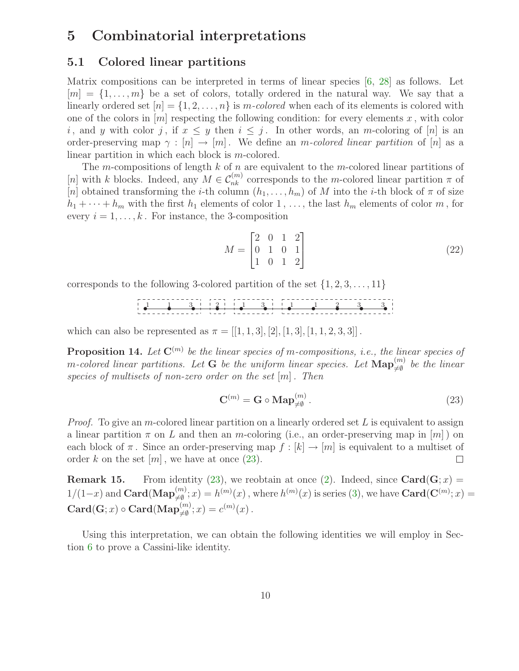### 5 Combinatorial interpretations

#### 5.1 Colored linear partitions

Matrix compositions can be interpreted in terms of linear species [\[6,](#page-24-8) [28\]](#page-25-15) as follows. Let  $[m] = \{1, \ldots, m\}$  be a set of colors, totally ordered in the natural way. We say that a linearly ordered set  $[n] = \{1, 2, ..., n\}$  is m-colored when each of its elements is colored with one of the colors in  $[m]$  respecting the following condition: for every elements x, with color i, and y with color j, if  $x \leq y$  then  $i \leq j$ . In other words, an m-coloring of [n] is an order-preserving map  $\gamma : [n] \to [m]$ . We define an m-colored linear partition of [n] as a linear partition in which each block is m-colored.

The m-compositions of length  $k$  of  $n$  are equivalent to the m-colored linear partitions of [n] with k blocks. Indeed, any  $M \in \mathcal{C}_{nk}^{(m)}$  corresponds to the m-colored linear partition  $\pi$  of [n] obtained transforming the *i*-th column  $(h_1, \ldots, h_m)$  of M into the *i*-th block of  $\pi$  of size  $h_1 + \cdots + h_m$  with the first  $h_1$  elements of color 1, ..., the last  $h_m$  elements of color m, for every  $i = 1, \ldots, k$ . For instance, the 3-composition

<span id="page-9-1"></span>
$$
M = \begin{bmatrix} 2 & 0 & 1 & 2 \\ 0 & 1 & 0 & 1 \\ 1 & 0 & 1 & 2 \end{bmatrix}
$$
 (22)

corresponds to the following 3-colored partition of the set  $\{1, 2, 3, \ldots, 11\}$ 

s s s s s s s s s s s 1 1 3 2 1 3 1 1 2 3 3

which can also be represented as  $\pi = [[1, 1, 3], [2], [1, 3], [1, 1, 2, 3, 3]]$ .

**Proposition 14.** Let  $\mathbf{C}^{(m)}$  be the linear species of m-compositions, i.e., the linear species of m-colored linear partitions. Let **G** be the uniform linear species. Let  $\text{Map}_{\neq\emptyset}^{(m)}$  be the linear species of multisets of non-zero order on the set  $[m]$ . Then

<span id="page-9-0"></span>
$$
\mathbf{C}^{(m)} = \mathbf{G} \circ \mathbf{Map}_{\neq \emptyset}^{(m)}.
$$
 (23)

*Proof.* To give an m-colored linear partition on a linearly ordered set L is equivalent to assign a linear partition  $\pi$  on L and then an m-coloring (i.e., an order-preserving map in  $[m]$ ) on each block of  $\pi$ . Since an order-preserving map  $f : [k] \to [m]$  is equivalent to a multiset of order k on the set  $[m]$ , we have at once (23). order k on the set  $[m]$ , we have at once  $(23)$ .

**Remark 15.** From identity [\(23\)](#page-9-0), we reobtain at once [\(2\)](#page-2-2). Indeed, since  $\text{Card}(G; x)$  =  $1/(1-x)$  and  $\text{Card}(\text{Map}_{\neq\emptyset}^{(m)};x)=h^{(m)}(x)$ , where  $h^{(m)}(x)$  is series [\(3\)](#page-2-3), we have  $\text{Card}(\mathbf{C}^{(m)};x)=$  $\mathbf{Card}(\mathbf{G};x)\circ\mathbf{Card}(\mathbf{Map}_{\neq\emptyset}^{(m)};x)=c^{(m)}(x)\,.$ 

Using this interpretation, we can obtain the following identities we will employ in Section [6](#page-13-0) to prove a Cassini-like identity.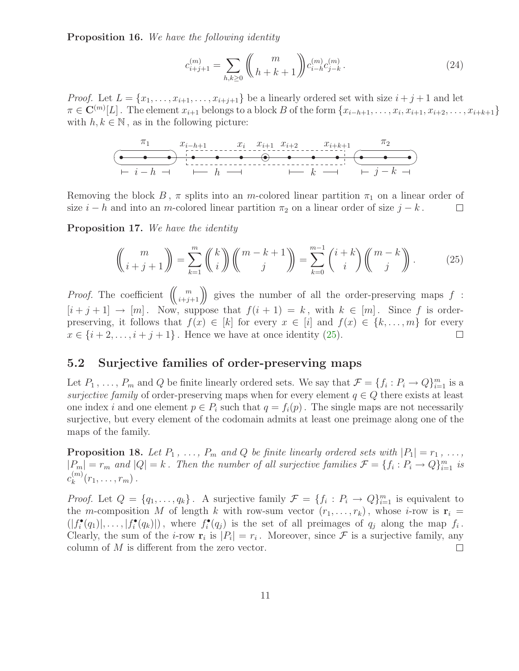Proposition 16. We have the following identity

<span id="page-10-1"></span>
$$
c_{i+j+1}^{(m)} = \sum_{h,k \ge 0} \binom{m}{h+k+1} c_{i-h}^{(m)} c_{j-k}^{(m)}.
$$
 (24)

*Proof.* Let  $L = \{x_1, \ldots, x_{i+1}, \ldots, x_{i+j+1}\}$  be a linearly ordered set with size  $i + j + 1$  and let  $\pi \in \mathbf{C}^{(m)}[L]$ . The element  $x_{i+1}$  belongs to a block B of the form  $\{x_{i-h+1}, \ldots, x_i, x_{i+1}, x_{i+2}, \ldots, x_{i+k+1}\}$ with  $h, k \in \mathbb{N}$ , as in the following picture:



Removing the block B,  $\pi$  splits into an m-colored linear partition  $\pi_1$  on a linear order of size  $i - h$  and into an m-colored linear partition  $\pi_2$  on a linear order of size  $j - k$ .  $\Box$ 

Proposition 17. We have the identity

<span id="page-10-0"></span>
$$
\left(\!\binom{m}{i+j+1}\!\right) = \sum_{k=1}^{m} \left(\!\binom{k}{i}\!\right) \left(\!\binom{m-k+1}{j}\!\right) = \sum_{k=0}^{m-1} \binom{i+k}{i} \left(\!\binom{m-k}{j}\!\right). \tag{25}
$$

*Proof.* The coefficient  $\binom{m}{i+j+1}$  gives the number of all the order-preserving maps f:  $[i + j + 1] \rightarrow [m]$ . Now, suppose that  $f(i + 1) = k$ , with  $k \in [m]$ . Since f is orderpreserving, it follows that  $f(x) \in [k]$  for every  $x \in [i]$  and  $f(x) \in \{k, ..., m\}$  for every  $x \in \{i+2, ..., i + j + 1\}$ . Hence we have at once identity (25).  $x \in \{i+2,\ldots,i+j+1\}$ . Hence we have at once identity [\(25\)](#page-10-0).

#### 5.2 Surjective families of order-preserving maps

Let  $P_1, \ldots, P_m$  and Q be finite linearly ordered sets. We say that  $\mathcal{F} = \{f_i : P_i \to Q\}_{i=1}^m$  is a surjective family of order-preserving maps when for every element  $q \in Q$  there exists at least one index i and one element  $p \in P_i$  such that  $q = f_i(p)$ . The single maps are not necessarily surjective, but every element of the codomain admits at least one preimage along one of the maps of the family.

**Proposition 18.** Let  $P_1$ , ...,  $P_m$  and Q be finite linearly ordered sets with  $|P_1| = r_1$ , ...,  $|P_m| = r_m$  and  $|Q| = k$ . Then the number of all surjective families  $\mathcal{F} = \{f_i : P_i \to Q\}_{i=1}^m$  is  $c_k^{(m)}$  $k^{(m)}(r_1, \ldots, r_m)$ .

*Proof.* Let  $Q = \{q_1, \ldots, q_k\}$ . A surjective family  $\mathcal{F} = \{f_i : P_i \to Q\}_{i=1}^m$  is equivalent to the m-composition M of length k with row-sum vector  $(r_1, \ldots, r_k)$ , whose i-row is  $\mathbf{r}_i =$  $(|f_i^{\bullet}(q_1)|, \ldots, |f_i^{\bullet}(q_k)|)$ , where  $f_i^{\bullet}(q_j)$  is the set of all preimages of  $q_j$  along the map  $f_i$ . Clearly, the sum of the *i*-row  $\mathbf{r}_i$  is  $|P_i| = r_i$ . Moreover, since  $\mathcal F$  is a surjective family, any column of M is different from the zero vector.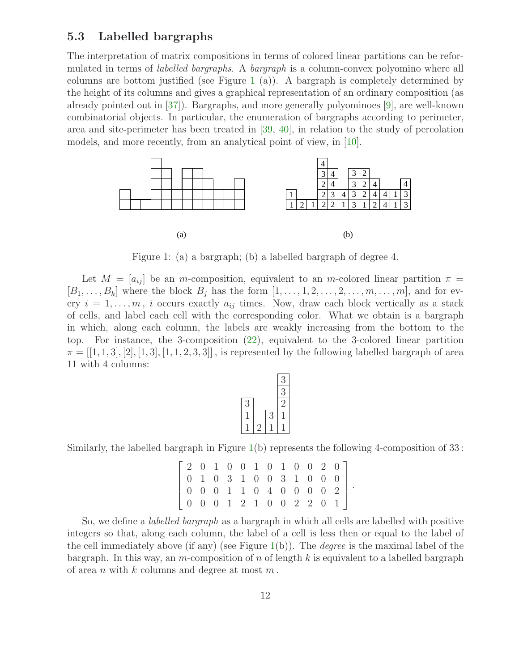#### <span id="page-11-1"></span>5.3 Labelled bargraphs

The interpretation of matrix compositions in terms of colored linear partitions can be reformulated in terms of *labelled bargraphs*. A *bargraph* is a column-convex polyomino where all columns are bottom justified (see Figure [1](#page-11-0) (a)). A bargraph is completely determined by the height of its columns and gives a graphical representation of an ordinary composition (as already pointed out in [\[37\]](#page-26-2)). Bargraphs, and more generally polyominoes [\[9\]](#page-24-9), are well-known combinatorial objects. In particular, the enumeration of bargraphs according to perimeter, area and site-perimeter has been treated in [\[39,](#page-26-13) [40\]](#page-26-14), in relation to the study of percolation models, and more recently, from an analytical point of view, in [\[10\]](#page-24-10).



<span id="page-11-0"></span>Figure 1: (a) a bargraph; (b) a labelled bargraph of degree 4.

Let  $M = [a_{ij}]$  be an m-composition, equivalent to an m-colored linear partition  $\pi =$  $[B_1, \ldots, B_k]$  where the block  $B_j$  has the form  $[1, \ldots, 1, 2, \ldots, 2, \ldots, m, \ldots, m]$ , and for every  $i = 1, \ldots, m$ , i occurs exactly  $a_{ij}$  times. Now, draw each block vertically as a stack of cells, and label each cell with the corresponding color. What we obtain is a bargraph in which, along each column, the labels are weakly increasing from the bottom to the top. For instance, the 3-composition [\(22\)](#page-9-1), equivalent to the 3-colored linear partition  $\pi = [[1, 1, 3], [2], [1, 3], [1, 1, 2, 3, 3]]$ , is represented by the following labelled bargraph of area 11 with 4 columns:

|   |   | 3 |
|---|---|---|
|   |   | 3 |
| 3 |   |   |
|   | 3 |   |
|   |   |   |
|   |   |   |

Similarly, the labelled bargraph in Figure [1\(](#page-11-0)b) represents the following 4-composition of 33 :

|  |  |  |  |  |  | $20100101010020$                                                              |  |
|--|--|--|--|--|--|-------------------------------------------------------------------------------|--|
|  |  |  |  |  |  | $\begin{bmatrix} 0 & 1 & 0 & 3 & 1 & 0 & 0 & 3 & 1 & 0 & 0 & 0 \end{bmatrix}$ |  |
|  |  |  |  |  |  | $\begin{bmatrix} 0 & 0 & 0 & 1 & 1 & 0 & 4 & 0 & 0 & 0 & 0 & 2 \end{bmatrix}$ |  |
|  |  |  |  |  |  |                                                                               |  |

.

So, we define a labelled bargraph as a bargraph in which all cells are labelled with positive integers so that, along each column, the label of a cell is less then or equal to the label of the cell immediately above (if any) (see Figure  $1(b)$  $1(b)$ ). The *degree* is the maximal label of the bargraph. In this way, an m-composition of n of length k is equivalent to a labelled bargraph of area n with  $k$  columns and degree at most  $m$ .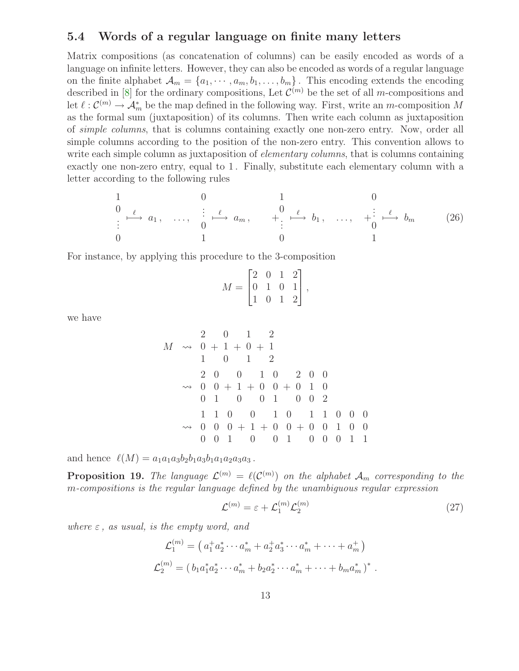#### 5.4 Words of a regular language on finite many letters

Matrix compositions (as concatenation of columns) can be easily encoded as words of a language on infinite letters. However, they can also be encoded as words of a regular language on the finite alphabet  $\mathcal{A}_m = \{a_1, \dots, a_m, b_1, \dots, b_m\}$ . This encoding extends the encoding described in [\[8\]](#page-24-3) for the ordinary compositions, Let  $\mathcal{C}^{(m)}$  be the set of all *m*-compositions and let  $\ell: \mathcal{C}^{(m)} \to \mathcal{A}_m^*$  be the map defined in the following way. First, write an m-composition M as the formal sum (juxtaposition) of its columns. Then write each column as juxtaposition of simple columns, that is columns containing exactly one non-zero entry. Now, order all simple columns according to the position of the non-zero entry. This convention allows to write each simple column as juxtaposition of *elementary columns*, that is columns containing exactly one non-zero entry, equal to 1. Finally, substitute each elementary column with a letter according to the following rules

$$
\begin{array}{ccccccccc}\n1 & & 0 & & 1 & & 0 \\
0 & \ell & & a_1, & \ldots, & \frac{1}{0} & \ell^2 & a_m, & & + \vdots & \stackrel{\ell}{\longmapsto} & b_1, & \ldots, & + \frac{1}{0} & \stackrel{\ell}{\longmapsto} & b_m \\
0 & & & 1 & & 0 & & 1\n\end{array}\n\tag{26}
$$

For instance, by applying this procedure to the 3-composition

$$
M = \begin{bmatrix} 2 & 0 & 1 & 2 \\ 0 & 1 & 0 & 1 \\ 1 & 0 & 1 & 2 \end{bmatrix},
$$

we have

$$
M \rightsquigarrow \begin{array}{cccccc} 2 & 0 & 1 & 2 \\ 0 & +1 & +0 & +1 \\ 1 & 0 & 1 & 2 \\ 2 & 0 & 0 & 1 & 0 \\ 2 & 0 & 0 & +1 & +0 \\ 0 & 1 & 0 & 0 & +1 \\ 0 & 1 & 0 & 0 & 1 \\ 0 & 0 & 1 & 0 & 1 \\ 0 & 0 & 0 & +1 & +0 \\ 0 & 0 & 1 & 0 & 1 \\ 0 & 0 & 1 & 0 & 0 \\ 0 & 0 & 1 & 0 & 0 & 1 \end{array}
$$

and hence  $\ell(M) = a_1a_1a_3b_2b_1a_3b_1a_1a_2a_3a_3$ .

**Proposition 19.** The language  $\mathcal{L}^{(m)} = \ell(\mathcal{C}^{(m)})$  on the alphabet  $\mathcal{A}_m$  corresponding to the m-compositions is the regular language defined by the unambiguous regular expression

<span id="page-12-0"></span>
$$
\mathcal{L}^{(m)} = \varepsilon + \mathcal{L}_1^{(m)} \mathcal{L}_2^{(m)} \tag{27}
$$

where  $\varepsilon$ , as usual, is the empty word, and

$$
\mathcal{L}_1^{(m)} = \left( a_1^+ a_2^* \cdots a_m^* + a_2^+ a_3^* \cdots a_m^* + \cdots + a_m^+ \right)
$$
  

$$
\mathcal{L}_2^{(m)} = \left( b_1 a_1^* a_2^* \cdots a_m^* + b_2 a_2^* \cdots a_m^* + \cdots + b_m a_m^* \right)^*.
$$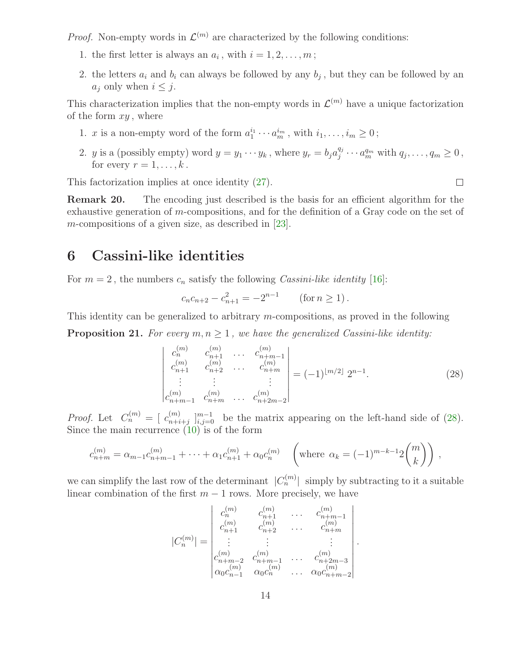*Proof.* Non-empty words in  $\mathcal{L}^{(m)}$  are characterized by the following conditions:

- 1. the first letter is always an  $a_i$ , with  $i = 1, 2, \ldots, m$ ;
- 2. the letters  $a_i$  and  $b_i$  can always be followed by any  $b_j$ , but they can be followed by an  $a_i$  only when  $i \leq j$ .

This characterization implies that the non-empty words in  $\mathcal{L}^{(m)}$  have a unique factorization of the form  $xy$ , where

- 1. x is a non-empty word of the form  $a_1^{i_1} \cdots a_m^{i_m}$ , with  $i_1, \ldots, i_m \ge 0$ ;
- 2. *y* is a (possibly empty) word  $y = y_1 \cdots y_k$ , where  $y_r = b_j a_j^{q_j}$  $q_j^{q_j} \cdots q_m^{q_m}$  with  $q_j, \ldots, q_m \geq 0$ , for every  $r = 1, \ldots, k$ .

This factorization implies at once identity [\(27\)](#page-12-0).

Remark 20. The encoding just described is the basis for an efficient algorithm for the exhaustive generation of m-compositions, and for the definition of a Gray code on the set of m-compositions of a given size, as described in  $[23]$ .

# <span id="page-13-0"></span>6 Cassini-like identities

For  $m = 2$ , the numbers  $c_n$  satisfy the following Cassini-like identity [\[16\]](#page-25-11):

$$
c_n c_{n+2} - c_{n+1}^2 = -2^{n-1} \qquad (\text{for } n \ge 1).
$$

This identity can be generalized to arbitrary m-compositions, as proved in the following

**Proposition 21.** For every  $m, n \geq 1$ , we have the generalized Cassini-like identity:

$$
\begin{vmatrix} c_n^{(m)} & c_{n+1}^{(m)} & \dots & c_{n+m-1}^{(m)} \\ c_{n+1}^{(m)} & c_{n+2}^{(m)} & \dots & c_{n+m}^{(m)} \\ \vdots & \vdots & & \vdots \\ c_{n+m-1}^{(m)} & c_{n+m}^{(m)} & \dots & c_{n+2m-2}^{(m)} \end{vmatrix} = (-1)^{\lfloor m/2 \rfloor} 2^{n-1}.
$$
 (28)

.

<span id="page-13-1"></span> $\Box$ 

*Proof.* Let  $C_n^{(m)} = [c_{n+i}^{(m)}]$  $\binom{m}{n+i+j}$   $\binom{m-1}{i,j=0}$  be the matrix appearing on the left-hand side of [\(28\)](#page-13-1). Since the main recurrence  $(10)$  is of the form

$$
c_{n+m}^{(m)} = \alpha_{m-1} c_{n+m-1}^{(m)} + \dots + \alpha_1 c_{n+1}^{(m)} + \alpha_0 c_n^{(m)} \quad \left(\text{where } \alpha_k = (-1)^{m-k-1} 2 \binom{m}{k}\right),
$$

we can simplify the last row of the determinant  $|C_n^{(m)}|$  simply by subtracting to it a suitable linear combination of the first  $m - 1$  rows. More precisely, we have

$$
|C_n^{(m)}| = \begin{vmatrix} c_n^{(m)} & c_{n+1}^{(m)} & \dots & c_{n+m-1}^{(m)} \\ c_n^{(m)} & c_{n+2}^{(m)} & \dots & c_{n+m}^{(m)} \\ \vdots & \vdots & & \vdots \\ c_{n+m-2}^{(m)} & c_{n+m-1}^{(m)} & \dots & c_{n+2m-3}^{(m)} \\ \alpha_0 c_{n-1}^{(m)} & \alpha_0 c_n^{(m)} & \dots & \alpha_0 c_{n+m-2}^{(m)} \end{vmatrix}
$$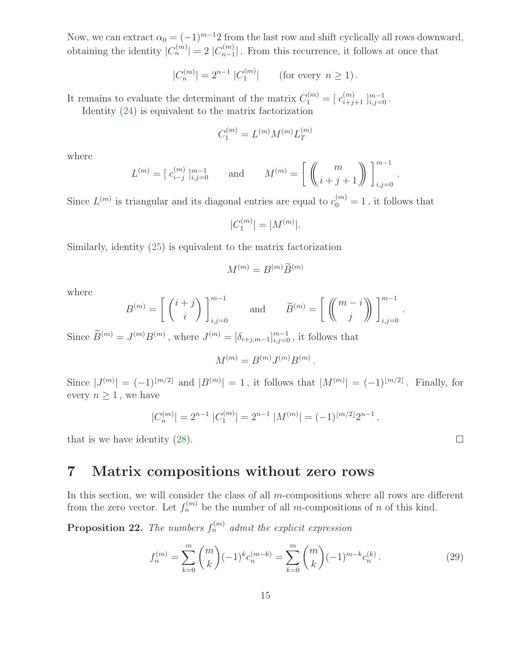Now, we can extract  $\alpha_0 = (-1)^{m-1}2$  from the last row and shift cyclically all rows downward, obtaining the identity  $|C_n^{(m)}| = 2 |C_{n-1}^{(m)}|$  $\binom{m}{n-1}$ . From this recurrence, it follows at once that

$$
|C_n^{(m)}| = 2^{n-1} |C_1^{(m)}| \qquad \text{(for every } n \ge 1).
$$

It remains to evaluate the determinant of the matrix  $C_1^{(m)} = [c_{i+j+1}^{(m)}]_{i,j=0}^{m-1}$ .

Identity [\(24\)](#page-10-1) is equivalent to the matrix factorization

$$
C_1^{(m)} = L^{(m)} M^{(m)} L_T^{(m)}
$$

where

$$
L^{(m)} = [c_{i-j}^{(m)}]_{i,j=0}^{m-1} \quad \text{and} \quad M^{(m)} = \left[ \begin{pmatrix} m \\ i+j+1 \end{pmatrix} \right]_{i,j=0}^{m-1}
$$

Since  $L^{(m)}$  is triangular and its diagonal entries are equal to  $c_0^{(m)} = 1$ , it follows that

$$
|C_1^{(m)}| = |M^{(m)}|.
$$

Similarly, identity [\(25\)](#page-10-0) is equivalent to the matrix factorization

$$
M^{(m)} = B^{(m)} \widetilde{B}^{(m)}
$$

where

$$
B^{(m)} = \left[ \begin{pmatrix} i+j \\ i \end{pmatrix} \right]_{i,j=0}^{m-1} \quad \text{and} \quad \widetilde{B}^{(m)} = \left[ \begin{pmatrix} m-i \\ j \end{pmatrix} \right]_{i,j=0}^{m-1}
$$

Since  $\tilde{B}^{(m)} = J^{(m)}B^{(m)}$ , where  $J^{(m)} = [\delta_{i+j,m-1}]_{i,j=0}^{m-1}$ , it follows that

$$
M^{(m)} = B^{(m)} J^{(m)} B^{(m)}.
$$

Since  $|J^{(m)}| = (-1)^{\lfloor m/2 \rfloor}$  and  $|B^{(m)}| = 1$ , it follows that  $|M^{(m)}| = (-1)^{\lfloor m/2 \rfloor}$ . Finally, for every  $n \geq 1$ , we have

$$
|C_n^{(m)}| = 2^{n-1} |C_1^{(m)}| = 2^{n-1} |M^{(m)}| = (-1)^{\lfloor m/2 \rfloor} 2^{n-1},
$$

that is we have identity [\(28\)](#page-13-1).

## 7 Matrix compositions without zero rows

In this section, we will consider the class of all  $m$ -compositions where all rows are different from the zero vector. Let  $f_n^{(m)}$  be the number of all m-compositions of n of this kind.

**Proposition 22.** The numbers  $f_n^{(m)}$  admit the explicit expression

<span id="page-14-0"></span>
$$
f_n^{(m)} = \sum_{k=0}^m \binom{m}{k} (-1)^k c_n^{(m-k)} = \sum_{k=0}^m \binom{m}{k} (-1)^{m-k} c_n^{(k)}.
$$
 (29)

 $\Box$ 

.

.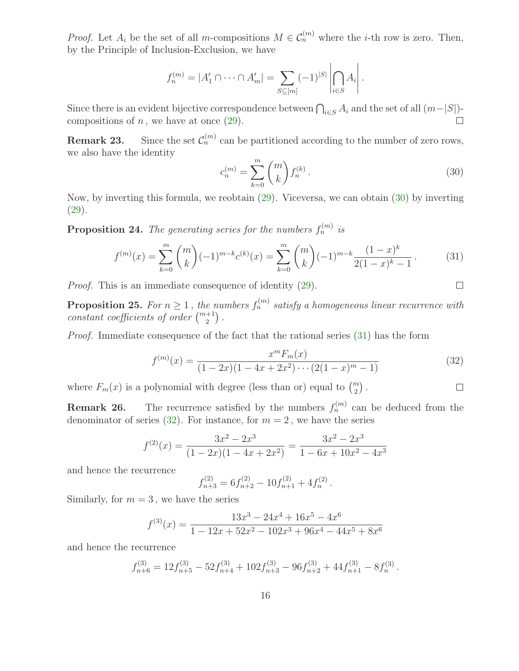*Proof.* Let  $A_i$  be the set of all m-compositions  $M \in C_n^{(m)}$  where the *i*-th row is zero. Then, by the Principle of Inclusion-Exclusion, we have

$$
f_n^{(m)} = |A'_1 \cap \dots \cap A'_m| = \sum_{S \subseteq [m]} (-1)^{|S|} \left| \bigcap_{i \in S} A_i \right|.
$$

Since there is an evident bijective correspondence between  $\bigcap_{i\in S} A_i$  and the set of all  $(m-|S|)$ compositions of  $n$ , we have at once  $(29)$ .

<span id="page-15-0"></span>**Remark 23.** Since the set  $\mathcal{C}_n^{(m)}$  can be partitioned according to the number of zero rows, we also have the identity

<span id="page-15-1"></span>
$$
c_n^{(m)} = \sum_{k=0}^m \binom{m}{k} f_n^{(k)}.
$$
\n(30)

<span id="page-15-2"></span> $\Box$ 

 $\Box$ 

Now, by inverting this formula, we reobtain [\(29\)](#page-14-0). Viceversa, we can obtain [\(30\)](#page-15-0) by inverting [\(29\)](#page-14-0).

**Proposition 24.** The generating series for the numbers  $f_n^{(m)}$  is

$$
f^{(m)}(x) = \sum_{k=0}^{m} {m \choose k} (-1)^{m-k} c^{(k)}(x) = \sum_{k=0}^{m} {m \choose k} (-1)^{m-k} \frac{(1-x)^k}{2(1-x)^k - 1}.
$$
 (31)

Proof. This is an immediate consequence of identity [\(29\)](#page-14-0).

**Proposition 25.** For  $n \geq 1$ , the numbers  $f_n^{(m)}$  satisfy a homogeneous linear recurrence with constant coefficients of order  $\binom{m+1}{2}$ .

Proof. Immediate consequence of the fact that the rational series [\(31\)](#page-15-1) has the form

$$
f^{(m)}(x) = \frac{x^m F_m(x)}{(1 - 2x)(1 - 4x + 2x^2) \cdots (2(1 - x)^m - 1)}
$$
(32)

where  $F_m(x)$  is a polynomial with degree (less than or) equal to  $\binom{m}{2}$ .

**Remark 26.** The recurrence satisfied by the numbers  $f_n^{(m)}$  can be deduced from the denominator of series [\(32\)](#page-15-2). For instance, for  $m = 2$ , we have the series

$$
f^{(2)}(x) = \frac{3x^2 - 2x^3}{(1 - 2x)(1 - 4x + 2x^2)} = \frac{3x^2 - 2x^3}{1 - 6x + 10x^2 - 4x^3}
$$

and hence the recurrence

$$
f_{n+3}^{(2)} = 6f_{n+2}^{(2)} - 10f_{n+1}^{(2)} + 4f_n^{(2)}.
$$

Similarly, for  $m = 3$ , we have the series

$$
f^{(3)}(x) = \frac{13x^3 - 24x^4 + 16x^5 - 4x^6}{1 - 12x + 52x^2 - 102x^3 + 96x^4 - 44x^5 + 8x^6}
$$

and hence the recurrence

$$
f_{n+6}^{(3)} = 12f_{n+5}^{(3)} - 52f_{n+4}^{(3)} + 102f_{n+3}^{(3)} - 96f_{n+2}^{(3)} + 44f_{n+1}^{(3)} - 8f_n^{(3)}.
$$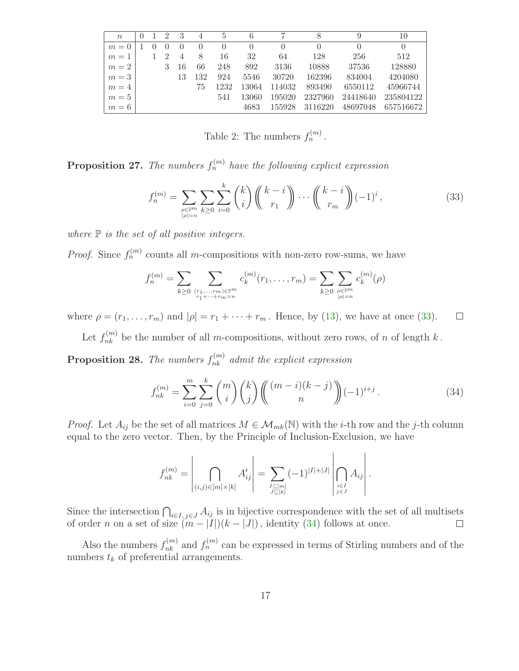| $n_{\rm c}$ |  | $\mathcal{D}$    | 3                |     | 5        | 6        |        |          | 9                | 10        |
|-------------|--|------------------|------------------|-----|----------|----------|--------|----------|------------------|-----------|
| $m=0$       |  | $\left( \right)$ | $\left( \right)$ |     | $\theta$ | $\theta$ |        | $\theta$ | $\left( \right)$ | $\theta$  |
| $m=1$       |  |                  | 4                | 8   | 16       | 32       | 64     | 128      | 256              | 512       |
| $m=2$       |  | 3                | 16               | 66  | 248      | 892      | 3136   | 10888    | 37536            | 128880    |
| $m=3$       |  |                  | 13               | 132 | 924      | 5546     | 30720  | 162396   | 834004           | 4204080   |
| $m=4$       |  |                  |                  | 75  | 1232     | 13064    | 114032 | 893490   | 6550112          | 45966744  |
| $m=5$       |  |                  |                  |     | 541      | 13060    | 195020 | 2327960  | 24418640         | 235804122 |
| $m=6$       |  |                  |                  |     |          | 4683     | 155928 | 3116220  | 48697048         | 657516672 |

<span id="page-16-2"></span><span id="page-16-0"></span>Table 2: The numbers  $f_n^{(m)}$ .

**Proposition 27.** The numbers  $f_n^{(m)}$  have the following explicit expression

$$
f_n^{(m)} = \sum_{\substack{\rho \in \mathbb{P}^m \\ |\rho| = n}} \sum_{k \ge 0} \sum_{i=0}^k {k \choose i} {k-i \choose r_1} \cdots {k-i \choose r_m} (-1)^i,
$$
 (33)

where  $\mathbb P$  is the set of all positive integers.

*Proof.* Since  $f_n^{(m)}$  counts all m-compositions with non-zero row-sums, we have

$$
f_n^{(m)} = \sum_{k \ge 0} \sum_{\substack{(r_1, \dots, r_m) \in \mathbb{P}^m \\ r_1 + \dots + r_m = n}} c_k^{(m)}(r_1, \dots, r_m) = \sum_{k \ge 0} \sum_{\substack{\rho \in \mathbb{P}^m \\ |\rho| = n}} c_k^{(m)}(\rho)
$$

where  $\rho = (r_1, \ldots, r_m)$  and  $|\rho| = r_1 + \cdots + r_m$ . Hence, by [\(13\)](#page-6-0), we have at once [\(33\)](#page-16-0).  $\Box$ 

Let  $f_{nk}^{(m)}$  be the number of all m-compositions, without zero rows, of n of length k.

**Proposition 28.** The numbers  $f_{nk}^{(m)}$  admit the explicit expression

<span id="page-16-1"></span>
$$
f_{nk}^{(m)} = \sum_{i=0}^{m} \sum_{j=0}^{k} {m \choose i} {k \choose j} {m-i)(k-j \choose n} (-1)^{i+j}.
$$
 (34)

*Proof.* Let  $A_{ij}$  be the set of all matrices  $M \in \mathcal{M}_{mk}(\mathbb{N})$  with the *i*-th row and the *j*-th column equal to the zero vector. Then, by the Principle of Inclusion-Exclusion, we have

$$
f_{nk}^{(m)} = \left| \bigcap_{(i,j) \in [m] \times [k]} A'_{ij} \right| = \sum_{\substack{I \subseteq [m] \\ J \subseteq [k]}} (-1)^{|I| + |J|} \left| \bigcap_{\substack{i \in I \\ j \in J}} A_{ij} \right|.
$$

Since the intersection  $\bigcap_{i\in I, j\in J} A_{ij}$  is in bijective correspondence with the set of all multisets of order *n* on a set of size  $(m - |I|)(k - |J|)$ , identity [\(34\)](#page-16-1) follows at once.

Also the numbers  $f_{nk}^{(m)}$  and  $f_n^{(m)}$  can be expressed in terms of Stirling numbers and of the numbers  $t_k$  of preferential arrangements.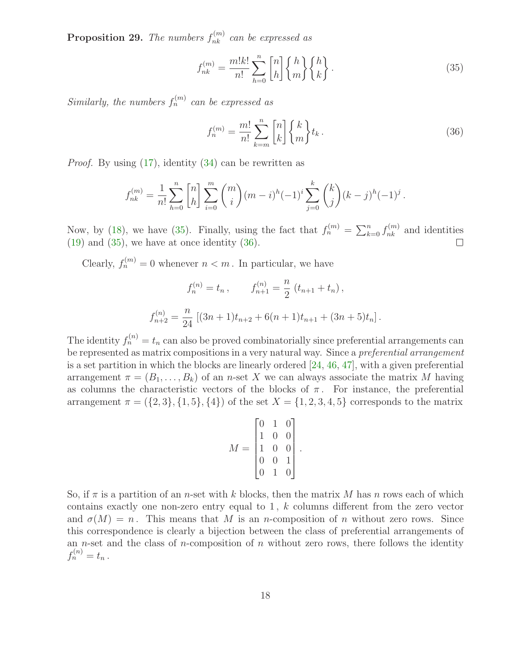**Proposition 29.** The numbers  $f_{nk}^{(m)}$  can be expressed as

<span id="page-17-1"></span><span id="page-17-0"></span>
$$
f_{nk}^{(m)} = \frac{m!k!}{n!} \sum_{h=0}^{n} \begin{bmatrix} n \\ h \end{bmatrix} \begin{Bmatrix} h \\ m \end{Bmatrix} \begin{Bmatrix} h \\ k \end{Bmatrix}.
$$
 (35)

Similarly, the numbers  $f_n^{(m)}$  can be expressed as

$$
f_n^{(m)} = \frac{m!}{n!} \sum_{k=m}^{n} \begin{bmatrix} n \\ k \end{bmatrix} \begin{Bmatrix} k \\ m \end{Bmatrix} t_k.
$$
 (36)

Proof. By using [\(17\)](#page-7-0), identity [\(34\)](#page-16-1) can be rewritten as

$$
f_{nk}^{(m)} = \frac{1}{n!} \sum_{h=0}^{n} {n \choose h} \sum_{i=0}^{m} {m \choose i} (m-i)^h (-1)^i \sum_{j=0}^{k} {k \choose j} (k-j)^h (-1)^j.
$$

Now, by [\(18\)](#page-7-1), we have [\(35\)](#page-17-0). Finally, using the fact that  $f_n^{(m)} = \sum_{k=0}^n f_{nk}^{(m)}$  and identities  $(19)$  and  $(35)$ , we have at once identity  $(36)$ .  $\Box$ 

Clearly,  $f_n^{(m)} = 0$  whenever  $n < m$ . In particular, we have

$$
f_n^{(n)} = t_n, \qquad f_{n+1}^{(n)} = \frac{n}{2} (t_{n+1} + t_n),
$$

$$
f_{n+2}^{(n)} = \frac{n}{24} [(3n+1)t_{n+2} + 6(n+1)t_{n+1} + (3n+5)t_n].
$$

The identity  $f_n^{(n)} = t_n$  can also be proved combinatorially since preferential arrangements can be represented as matrix compositions in a very natural way. Since a *preferential arrangement* is a set partition in which the blocks are linearly ordered [\[24,](#page-25-14) [46,](#page-27-0) [47\]](#page-27-1), with a given preferential arrangement  $\pi = (B_1, \ldots, B_k)$  of an *n*-set X we can always associate the matrix M having as columns the characteristic vectors of the blocks of  $\pi$ . For instance, the preferential arrangement  $\pi = (\{2, 3\}, \{1, 5\}, \{4\})$  of the set  $X = \{1, 2, 3, 4, 5\}$  corresponds to the matrix

$$
M = \begin{bmatrix} 0 & 1 & 0 \\ 1 & 0 & 0 \\ 1 & 0 & 0 \\ 0 & 0 & 1 \\ 0 & 1 & 0 \end{bmatrix}
$$

.

So, if  $\pi$  is a partition of an *n*-set with k blocks, then the matrix M has n rows each of which contains exactly one non-zero entry equal to  $1, k$  columns different from the zero vector and  $\sigma(M) = n$ . This means that M is an n-composition of n without zero rows. Since this correspondence is clearly a bijection between the class of preferential arrangements of an *n*-set and the class of *n*-composition of *n* without zero rows, there follows the identity  $f_n^{(n)} = t_n$ .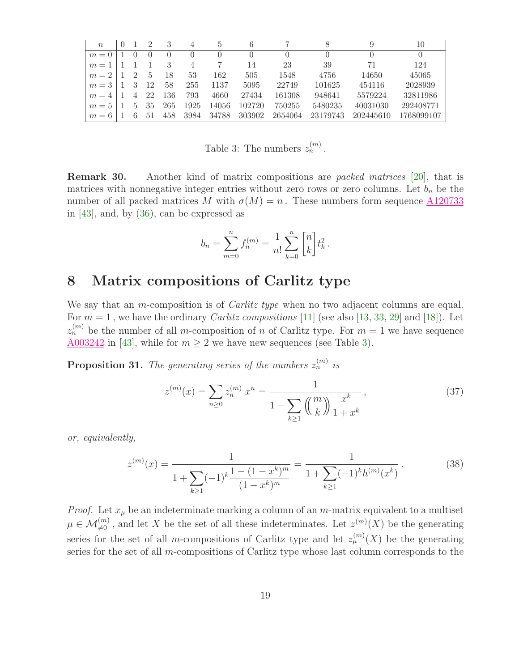| $\boldsymbol{n}$ |   |    | 3   |                  | 5        | 6                |          |          |           | 10         |
|------------------|---|----|-----|------------------|----------|------------------|----------|----------|-----------|------------|
| $m=0$            |   |    |     | $\left( \right)$ | $\theta$ | $\left( \right)$ | $\theta$ |          |           | $\theta$   |
| $m =$            |   |    | 3   | 4                |          | 14               | 23       | 39       | 71        | 124        |
| $m=2$            | 2 | 5  | 18  | 53               | 162      | 505              | 1548     | 4756     | 14650     | 45065      |
| $m=3$            | 3 | 12 | 58  | 255              | 1137     | 5095             | 22749    | 101625   | 454116    | 2028939    |
| $m=4$            | 4 | 22 | 136 | 793              | 4660     | 27434            | 161308   | 948641   | 5579224   | 32811986   |
| $m=5$            | h | 35 | 265 | 1925             | 14056    | 102720           | 750255   | 5480235  | 40031030  | 292408771  |
| $m=6$            | 6 | 51 | 458 | 3984             | 34788    | 303902           | 2654064  | 23179743 | 202445610 | 1768099107 |

<span id="page-18-0"></span>Table 3: The numbers  $z_n^{(m)}$ .

Remark 30. Another kind of matrix compositions are packed matrices [\[20\]](#page-25-10), that is matrices with nonnegative integer entries without zero rows or zero columns. Let  $b_n$  be the number of all packed matrices M with  $\sigma(M) = n$ . These numbers form sequence  $\underline{\text{A120733}}$  $\underline{\text{A120733}}$  $\underline{\text{A120733}}$ in  $[43]$ , and, by  $(36)$ , can be expressed as

$$
b_n = \sum_{m=0}^n f_n^{(m)} = \frac{1}{n!} \sum_{k=0}^n \begin{bmatrix} n \\ k \end{bmatrix} t_k^2.
$$

# 8 Matrix compositions of Carlitz type

We say that an *m*-composition is of *Carlitz type* when no two adjacent columns are equal. For  $m = 1$ , we have the ordinary *Carlitz compositions* [\[11\]](#page-24-1) (see also [\[13,](#page-25-1) [33,](#page-26-15) [29\]](#page-26-0) and [\[18\]](#page-25-5)). Let  $z_n^{(m)}$  be the number of all m-composition of n of Carlitz type. For  $m=1$  we have sequence  $\underline{\text{A}003242}$  in [\[43\]](#page-26-11), while for  $m \geq 2$  we have new sequences (see Table [3\)](#page-18-0).

**Proposition 31.** The generating series of the numbers  $z_n^{(m)}$  is

<span id="page-18-1"></span>
$$
z^{(m)}(x) = \sum_{n\geq 0} z_n^{(m)} x^n = \frac{1}{1 - \sum_{k\geq 1} \binom{m}{k} \frac{x^k}{1 + x^k}},\tag{37}
$$

<span id="page-18-2"></span>or, equivalently,

$$
z^{(m)}(x) = \frac{1}{1 + \sum_{k \ge 1} (-1)^k \frac{1 - (1 - x^k)^m}{(1 - x^k)^m}} = \frac{1}{1 + \sum_{k \ge 1} (-1)^k h^{(m)}(x^k)}.
$$
(38)

*Proof.* Let  $x_{\mu}$  be an indeterminate marking a column of an m-matrix equivalent to a multiset  $\mu \in \mathcal{M}_{\neq 0}^{(m)}$ , and let X be the set of all these indeterminates. Let  $z^{(m)}(X)$  be the generating series for the set of all m-compositions of Carlitz type and let  $z_{\mu}^{(m)}(X)$  be the generating series for the set of all m-compositions of Carlitz type whose last column corresponds to the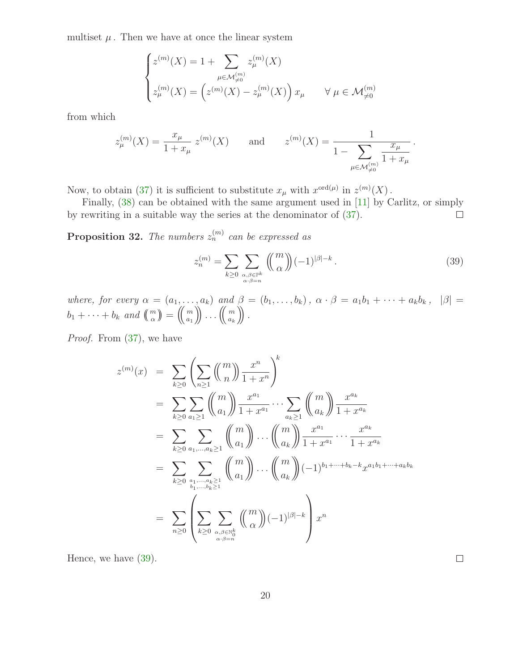multiset  $\mu$ . Then we have at once the linear system

$$
\begin{cases} z^{(m)}(X) = 1 + \sum_{\mu \in \mathcal{M}_{\neq 0}^{(m)}} z_{\mu}^{(m)}(X) \\ z_{\mu}^{(m)}(X) = \left( z^{(m)}(X) - z_{\mu}^{(m)}(X) \right) x_{\mu} \quad \forall \ \mu \in \mathcal{M}_{\neq 0}^{(m)} \end{cases}
$$

from which

$$
z_{\mu}^{(m)}(X) = \frac{x_{\mu}}{1 + x_{\mu}} z^{(m)}(X) \quad \text{and} \quad z^{(m)}(X) = \frac{1}{1 - \sum_{\mu \in \mathcal{M}_{\neq 0}^{(m)}} \frac{x_{\mu}}{1 + x_{\mu}}}.
$$

Now, to obtain [\(37\)](#page-18-1) it is sufficient to substitute  $x_{\mu}$  with  $x^{\text{ord}(\mu)}$  in  $z^{(m)}(X)$ .

Finally, [\(38\)](#page-18-2) can be obtained with the same argument used in [\[11\]](#page-24-1) by Carlitz, or simply by rewriting in a suitable way the series at the denominator of [\(37\)](#page-18-1).  $\Box$ 

**Proposition 32.** The numbers  $z_n^{(m)}$  can be expressed as

<span id="page-19-0"></span>
$$
z_n^{(m)} = \sum_{k \ge 0} \sum_{\alpha, \beta \in \mathbb{P}^k \atop \alpha \cdot \beta = n} \left( \binom{m}{\alpha} (-1)^{|\beta| - k} \right). \tag{39}
$$

 $\Box$ 

where, for every  $\alpha = (a_1, \ldots, a_k)$  and  $\beta = (b_1, \ldots, b_k)$ ,  $\alpha \cdot \beta = a_1b_1 + \cdots + a_kb_k$ ,  $|\beta| =$  $b_1 + \cdots + b_k$  and  $\binom{m}{\alpha} = \binom{m}{a_1}$  $\begin{pmatrix} m \ a_1 \end{pmatrix} \begin{pmatrix} \cdots \ a_k \end{pmatrix}$ .

Proof. From [\(37\)](#page-18-1), we have

$$
z^{(m)}(x) = \sum_{k\geq 0} \left( \sum_{n\geq 1} {m \choose n} \frac{x^n}{1+x^n} \right)^k
$$
  
\n
$$
= \sum_{k\geq 0} \sum_{a_1\geq 1} {m \choose a_1} \frac{x^{a_1}}{1+x^{a_1}} \cdots \sum_{a_k\geq 1} {m \choose a_k} \frac{x^{a_k}}{1+x^{a_k}}
$$
  
\n
$$
= \sum_{k\geq 0} \sum_{a_1,\dots,a_k\geq 1} {m \choose a_1} \cdots {m \choose a_k} \frac{x^{a_1}}{1+x^{a_1}} \cdots \frac{x^{a_k}}{1+x^{a_k}}
$$
  
\n
$$
= \sum_{k\geq 0} \sum_{a_1,\dots,a_k\geq 1} {m \choose a_1} \cdots {m \choose a_k} (-1)^{b_1+\cdots+b_k-k} x^{a_1b_1+\cdots+a_kb_k}
$$
  
\n
$$
= \sum_{n\geq 0} \left( \sum_{k\geq 0} \sum_{\substack{\alpha,\beta \in \mathbb{N}_0^k \\ \alpha \cdot \beta = n}} {m \choose \alpha} (-1)^{|\beta|-k} \right) x^n
$$

Hence, we have [\(39\)](#page-19-0).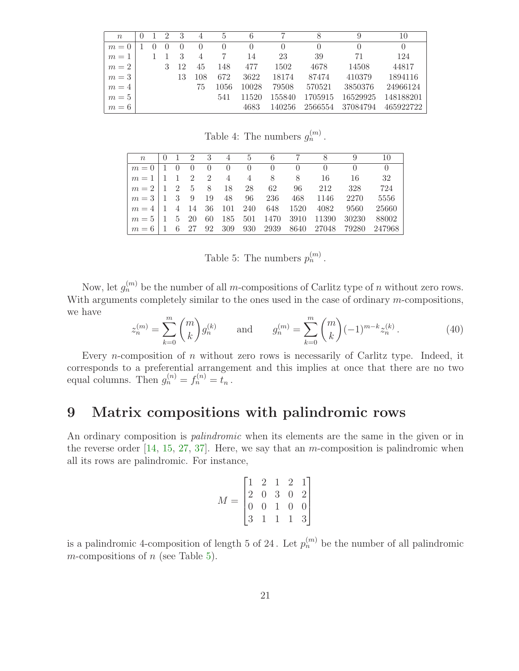| $\boldsymbol{n}$ |  | 9 | 3  | $\overline{4}$ | 5        | 6        |          |         | 9        | 10               |
|------------------|--|---|----|----------------|----------|----------|----------|---------|----------|------------------|
| $m=0$            |  |   |    |                | $\theta$ | $\theta$ | $\theta$ |         |          | $\left( \right)$ |
| $m=1$            |  |   | 3  | $\overline{4}$ |          | 14       | 23       | 39      | 71       | 124              |
| $m=2$            |  |   | 12 | 45             | 148      | 477      | 1502     | 4678    | 14508    | 44817            |
| $m=3$            |  |   | 13 | 108            | 672      | 3622     | 18174    | 87474   | 410379   | 1894116          |
| $m=4$            |  |   |    | 75             | 1056     | 10028    | 79508    | 570521  | 3850376  | 24966124         |
| $m=5$            |  |   |    |                | 541      | 11520    | 155840   | 1705915 | 16529925 | 148188201        |
| $m=6$            |  |   |    |                |          | 4683     | 140256   | 2566554 | 37084794 | 465922722        |

<span id="page-20-2"></span>Table 4: The numbers  $g_n^{(m)}$ .

|                                                                                                                              |  |  |  |  |                                                                                                     | n 0 1 2 3 4 5 6 7 8 9 10                         |                |
|------------------------------------------------------------------------------------------------------------------------------|--|--|--|--|-----------------------------------------------------------------------------------------------------|--------------------------------------------------|----------------|
|                                                                                                                              |  |  |  |  | $m = 0$   1 0 0 0 0 0 0 0 0 0 0 0                                                                   |                                                  | $\overline{0}$ |
|                                                                                                                              |  |  |  |  |                                                                                                     | $m=1$   1   2   2   4   4   8   8   16   16   32 |                |
| $m = 2 \begin{pmatrix} 1 & 2 & 5 & 8 & 18 & 28 & 62 & 96 & 212 & 328 \end{pmatrix}$                                          |  |  |  |  |                                                                                                     |                                                  | 724            |
|                                                                                                                              |  |  |  |  | $m = 3 \mid 1 \quad 3 \quad 9 \quad 19 \quad 48 \quad 96 \quad 236 \quad 468 \quad 1146 \quad 2270$ |                                                  | 5556           |
| $m = 4 \mid 1$ 4 14 36 101 240 648 1520 4082 9560                                                                            |  |  |  |  |                                                                                                     |                                                  | 25660          |
| $m = 5 \mid 1 \quad 5 \quad 20 \quad 60 \quad 185 \quad 501 \quad 1470 \quad 3910 \quad 11390 \quad 30230$                   |  |  |  |  |                                                                                                     |                                                  | 88002          |
| $\mid m = 6 \mid 1 \quad 6 \quad 27 \quad 92 \quad 309 \quad 930 \quad 2939 \quad 8640 \quad 27048 \quad 79280 \quad 247968$ |  |  |  |  |                                                                                                     |                                                  |                |

<span id="page-20-0"></span>Table 5: The numbers  $p_n^{(m)}$ .

<span id="page-20-1"></span>Now, let  $g_n^{(m)}$  be the number of all m-compositions of Carlitz type of n without zero rows. With arguments completely similar to the ones used in the case of ordinary  $m$ -compositions, we have

$$
z_n^{(m)} = \sum_{k=0}^m \binom{m}{k} g_n^{(k)} \qquad \text{and} \qquad g_n^{(m)} = \sum_{k=0}^m \binom{m}{k} (-1)^{m-k} z_n^{(k)}.
$$
 (40)

Every *n*-composition of *n* without zero rows is necessarily of Carlitz type. Indeed, it corresponds to a preferential arrangement and this implies at once that there are no two equal columns. Then  $g_n^{(n)} = f_n^{(n)} = t_n$ .

# 9 Matrix compositions with palindromic rows

An ordinary composition is *palindromic* when its elements are the same in the given or in the reverse order  $[14, 15, 27, 37]$  $[14, 15, 27, 37]$  $[14, 15, 27, 37]$  $[14, 15, 27, 37]$  $[14, 15, 27, 37]$  $[14, 15, 27, 37]$ . Here, we say that an *m*-composition is palindromic when all its rows are palindromic. For instance,

$$
M = \begin{bmatrix} 1 & 2 & 1 & 2 & 1 \\ 2 & 0 & 3 & 0 & 2 \\ 0 & 0 & 1 & 0 & 0 \\ 3 & 1 & 1 & 1 & 3 \end{bmatrix}
$$

is a palindromic 4-composition of length 5 of 24. Let  $p_n^{(m)}$  be the number of all palindromic m-compositions of  $n$  (see Table [5\)](#page-20-0).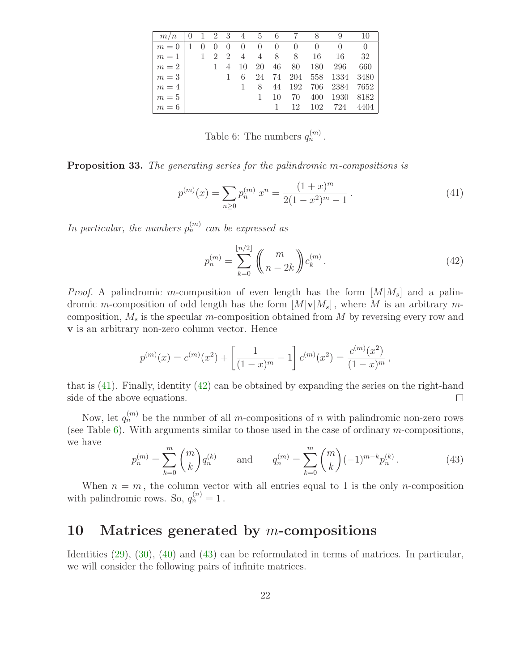| m/n           |            |           |             |             |       |          | - 8        | 9                | -10       |
|---------------|------------|-----------|-------------|-------------|-------|----------|------------|------------------|-----------|
| $m=0$         | $\bigcirc$ | $\bigcup$ | $0 \quad 0$ | $0 \quad 0$ |       | $\sim$ 0 | $\bigcirc$ | $\left( \right)$ | $\theta$  |
| $m=1$   1 2 2 |            |           |             |             | 4 4 8 | 8        | -16        | 16               | -32       |
| $m = 2$   1 4 |            |           |             | 10 20       | 46    | 80       | 180        | 296              | 660       |
| $m=3$         |            |           |             | 24          | 74    | - 204    |            | 558 1334         | 3480      |
| $m=4$         |            |           |             | 8           | 44    | 192 706  |            | 2384             | 7652      |
| $m=5$         |            |           |             |             | 10    | 70       | 400        |                  | 1930 8182 |
| $m=6$         |            |           |             |             |       | 12       | 102        | 724              | 4404      |

<span id="page-21-2"></span><span id="page-21-0"></span>Table 6: The numbers  $q_n^{(m)}$ .

Proposition 33. The generating series for the palindromic m-compositions is

$$
p^{(m)}(x) = \sum_{n\geq 0} p_n^{(m)} x^n = \frac{(1+x)^m}{2(1-x^2)^m - 1}.
$$
\n(41)

In particular, the numbers  $p_n^{(m)}$  can be expressed as

<span id="page-21-1"></span>
$$
p_n^{(m)} = \sum_{k=0}^{\lfloor n/2 \rfloor} \binom{m}{n-2k} c_k^{(m)}.
$$
 (42)

*Proof.* A palindromic m-composition of even length has the form  $[M|M_s]$  and a palindromic m-composition of odd length has the form  $[M|\mathbf{v}|M_s]$ , where M is an arbitrary mcomposition,  $M_s$  is the specular m-composition obtained from M by reversing every row and v is an arbitrary non-zero column vector. Hence

$$
p^{(m)}(x) = c^{(m)}(x^2) + \left[\frac{1}{(1-x)^m} - 1\right]c^{(m)}(x^2) = \frac{c^{(m)}(x^2)}{(1-x)^m},
$$

that is [\(41\)](#page-21-0). Finally, identity [\(42\)](#page-21-1) can be obtained by expanding the series on the right-hand side of the above equations.  $\Box$ 

<span id="page-21-3"></span>Now, let  $q_n^{(m)}$  be the number of all m-compositions of n with palindromic non-zero rows (see Table [6\)](#page-21-2). With arguments similar to those used in the case of ordinary  $m$ -compositions, we have

$$
p_n^{(m)} = \sum_{k=0}^m \binom{m}{k} q_n^{(k)} \quad \text{and} \quad q_n^{(m)} = \sum_{k=0}^m \binom{m}{k} (-1)^{m-k} p_n^{(k)}.
$$
 (43)

When  $n = m$ , the column vector with all entries equal to 1 is the only *n*-composition with palindromic rows. So,  $q_n^{(n)} = 1$ .

# 10 Matrices generated by  $m$ -compositions

Identities [\(29\)](#page-14-0), [\(30\)](#page-15-0), [\(40\)](#page-20-1) and [\(43\)](#page-21-3) can be reformulated in terms of matrices. In particular, we will consider the following pairs of infinite matrices.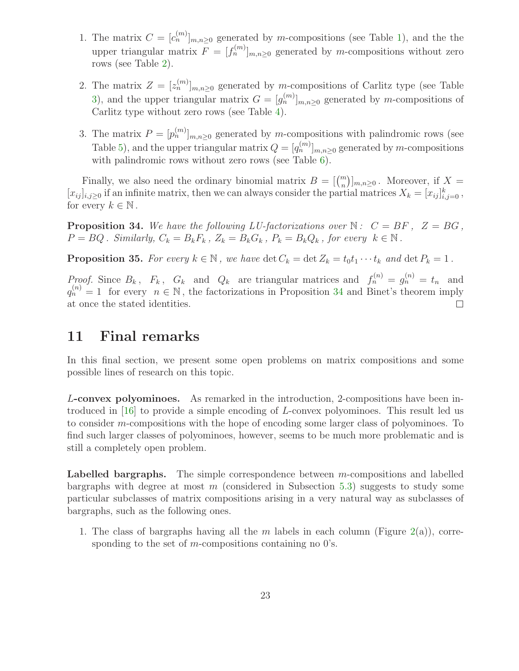- 1. The matrix  $C = [c_n^{(m)}]_{m,n \geq 0}$  generated by m-compositions (see Table [1\)](#page-2-0), and the the upper triangular matrix  $F = [f_n^{(m)}]_{m,n\geq 0}$  generated by m-compositions without zero rows (see Table [2\)](#page-16-2).
- 2. The matrix  $Z = [z_n^{(m)}]_{m,n \geq 0}$  generated by m-compositions of Carlitz type (see Table [3\)](#page-18-0), and the upper triangular matrix  $G = [g_n^{(m)}]_{m,n \geq 0}$  generated by m-compositions of Carlitz type without zero rows (see Table [4\)](#page-20-2).
- 3. The matrix  $P = [p_n^{(m)}]_{m,n \geq 0}$  generated by m-compositions with palindromic rows (see Table [5\)](#page-20-0), and the upper triangular matrix  $Q = [q_n^{(m)}]_{m,n \geq 0}$  generated by m-compositions with palindromic rows without zero rows (see Table [6\)](#page-21-2).

Finally, we also need the ordinary binomial matrix  $B = \begin{bmatrix} m \\ n \end{bmatrix}$ , Moreover, if  $X =$  $[x_{ij}]_{i,j\geq0}$  if an infinite matrix, then we can always consider the partial matrices  $X_k = [x_{ij}]_{i,j=0}^k$ , for every  $k \in \mathbb{N}$ .

<span id="page-22-0"></span>**Proposition 34.** We have the following LU-factorizations over  $\mathbb{N}: C = BF$ ,  $Z = BG$ ,  $P = BQ$ . Similarly,  $C_k = B_k F_k$ ,  $Z_k = B_k G_k$ ,  $P_k = B_k Q_k$ , for every  $k \in \mathbb{N}$ .

**Proposition 35.** For every  $k \in \mathbb{N}$ , we have  $\det C_k = \det Z_k = t_0 t_1 \cdots t_k$  and  $\det P_k = 1$ .

Proof. Since  $B_k$ ,  $F_k$ ,  $G_k$  and  $Q_k$  are triangular matrices and  $f_n^{(n)} = g_n^{(n)} = t_n$  and  $q_n^{(n)} = 1$  for every  $n \in \mathbb{N}$ , the factorizations in Proposition [34](#page-22-0) and Binet's theorem imply at once the stated identities.

### 11 Final remarks

In this final section, we present some open problems on matrix compositions and some possible lines of research on this topic.

L-convex polyominoes. As remarked in the introduction, 2-compositions have been introduced in [\[16\]](#page-25-11) to provide a simple encoding of L-convex polyominoes. This result led us to consider m-compositions with the hope of encoding some larger class of polyominoes. To find such larger classes of polyominoes, however, seems to be much more problematic and is still a completely open problem.

**Labelled bargraphs.** The simple correspondence between  $m$ -compositions and labelled bargraphs with degree at most  $m$  (considered in Subsection [5.3\)](#page-11-1) suggests to study some particular subclasses of matrix compositions arising in a very natural way as subclasses of bargraphs, such as the following ones.

1. The class of bargraphs having all the m labels in each column (Figure  $2(a)$  $2(a)$ ), corresponding to the set of m-compositions containing no  $0$ 's.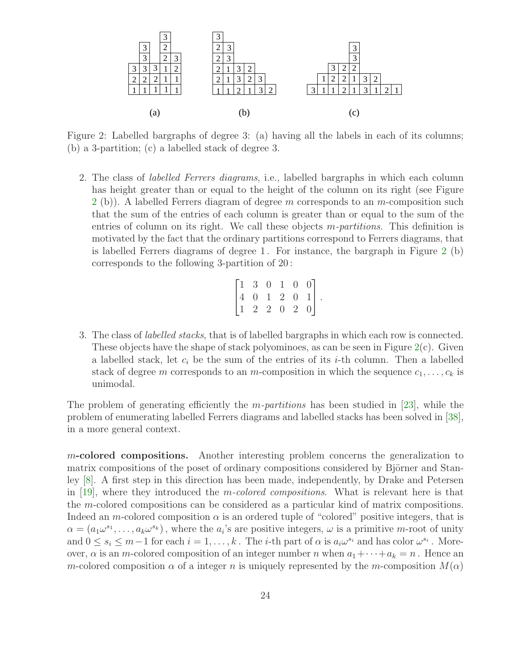

<span id="page-23-0"></span>Figure 2: Labelled bargraphs of degree 3: (a) having all the labels in each of its columns; (b) a 3-partition; (c) a labelled stack of degree 3.

2. The class of labelled Ferrers diagrams, i.e., labelled bargraphs in which each column has height greater than or equal to the height of the column on its right (see Figure  $2$  (b)). A labelled Ferrers diagram of degree m corresponds to an m-composition such that the sum of the entries of each column is greater than or equal to the sum of the entries of column on its right. We call these objects *m-partitions*. This definition is motivated by the fact that the ordinary partitions correspond to Ferrers diagrams, that is labelled Ferrers diagrams of degree 1 . For instance, the bargraph in Figure [2](#page-23-0) (b) corresponds to the following 3-partition of 20 :

|  | $\begin{bmatrix} 1 & 3 & 0 & 1 & 0 & 0 \\ 4 & 0 & 1 & 2 & 0 & 1 \\ 1 & 2 & 2 & 0 & 2 & 0 \end{bmatrix}.$ |  |  |  |
|--|----------------------------------------------------------------------------------------------------------|--|--|--|

3. The class of labelled stacks, that is of labelled bargraphs in which each row is connected. These objects have the shape of stack polyominoes, as can be seen in Figure  $2(c)$  $2(c)$ . Given a labelled stack, let  $c_i$  be the sum of the entries of its *i*-th column. Then a labelled stack of degree m corresponds to an m-composition in which the sequence  $c_1, \ldots, c_k$  is unimodal.

The problem of generating efficiently the *m-partitions* has been studied in [\[23\]](#page-25-12), while the problem of enumerating labelled Ferrers diagrams and labelled stacks has been solved in [\[38\]](#page-26-16), in a more general context.

m-colored compositions. Another interesting problem concerns the generalization to matrix compositions of the poset of ordinary compositions considered by Björner and Stanley [\[8\]](#page-24-3). A first step in this direction has been made, independently, by Drake and Petersen in [\[19\]](#page-25-9), where they introduced the m-colored compositions. What is relevant here is that the m-colored compositions can be considered as a particular kind of matrix compositions. Indeed an m-colored composition  $\alpha$  is an ordered tuple of "colored" positive integers, that is  $\alpha = (a_1\omega^{s_1}, \ldots, a_k\omega^{s_k})$ , where the  $a_i$ 's are positive integers,  $\omega$  is a primitive *m*-root of unity and  $0 \le s_i \le m-1$  for each  $i = 1, ..., k$ . The *i*-th part of  $\alpha$  is  $a_i\omega^{s_i}$  and has color  $\omega^{s_i}$ . Moreover,  $\alpha$  is an m-colored composition of an integer number n when  $a_1 + \cdots + a_k = n$ . Hence an m-colored composition  $\alpha$  of a integer n is uniquely represented by the m-composition  $M(\alpha)$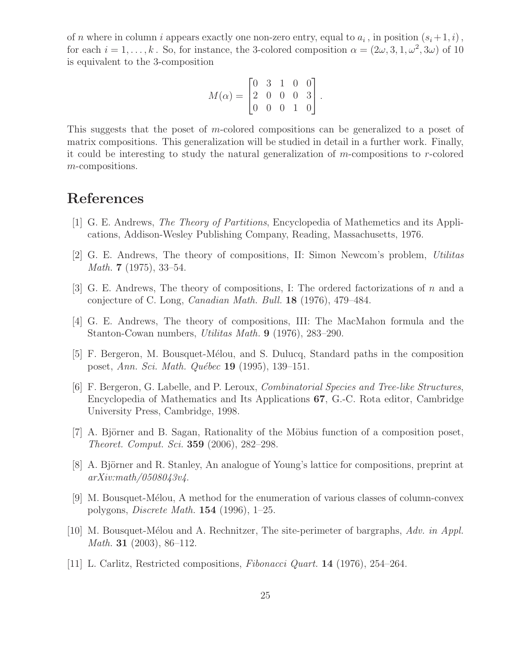of *n* where in column *i* appears exactly one non-zero entry, equal to  $a_i$ , in position  $(s_i+1, i)$ , for each  $i = 1, \ldots, k$ . So, for instance, the 3-colored composition  $\alpha = (2\omega, 3, 1, \omega^2, 3\omega)$  of 10 is equivalent to the 3-composition

$$
M(\alpha) = \begin{bmatrix} 0 & 3 & 1 & 0 & 0 \\ 2 & 0 & 0 & 0 & 3 \\ 0 & 0 & 0 & 1 & 0 \end{bmatrix}.
$$

This suggests that the poset of m-colored compositions can be generalized to a poset of matrix compositions. This generalization will be studied in detail in a further work. Finally, it could be interesting to study the natural generalization of m-compositions to r-colored m-compositions.

# <span id="page-24-0"></span>References

- <span id="page-24-5"></span>[1] G. E. Andrews, The Theory of Partitions, Encyclopedia of Mathemetics and its Applications, Addison-Wesley Publishing Company, Reading, Massachusetts, 1976.
- <span id="page-24-6"></span>[2] G. E. Andrews, The theory of compositions, II: Simon Newcom's problem, Utilitas Math. 7 (1975), 33–54.
- <span id="page-24-7"></span>[3] G. E. Andrews, The theory of compositions, I: The ordered factorizations of n and a conjecture of C. Long, Canadian Math. Bull. 18 (1976), 479–484.
- [4] G. E. Andrews, The theory of compositions, III: The MacMahon formula and the Stanton-Cowan numbers, Utilitas Math. 9 (1976), 283–290.
- <span id="page-24-8"></span><span id="page-24-4"></span>[5] F. Bergeron, M. Bousquet-Mélou, and S. Dulucq, Standard paths in the composition poset, Ann. Sci. Math. Québec 19 (1995), 139–151.
- [6] F. Bergeron, G. Labelle, and P. Leroux, Combinatorial Species and Tree-like Structures, Encyclopedia of Mathematics and Its Applications 67, G.-C. Rota editor, Cambridge University Press, Cambridge, 1998.
- <span id="page-24-3"></span><span id="page-24-2"></span>[7] A. Björner and B. Sagan, Rationality of the Möbius function of a composition poset, Theoret. Comput. Sci. 359 (2006), 282–298.
- [8] A. Björner and R. Stanley, An analogue of Young's lattice for compositions, preprint at arXiv:math/0508043v4.
- <span id="page-24-9"></span>[9] M. Bousquet-M´elou, A method for the enumeration of various classes of column-convex polygons, Discrete Math. 154 (1996), 1–25.
- <span id="page-24-10"></span>[10] M. Bousquet-Mélou and A. Rechnitzer, The site-perimeter of bargraphs, Adv. in Appl. *Math.* **31** (2003), 86–112.
- <span id="page-24-1"></span>[11] L. Carlitz, Restricted compositions, Fibonacci Quart. 14 (1976), 254–264.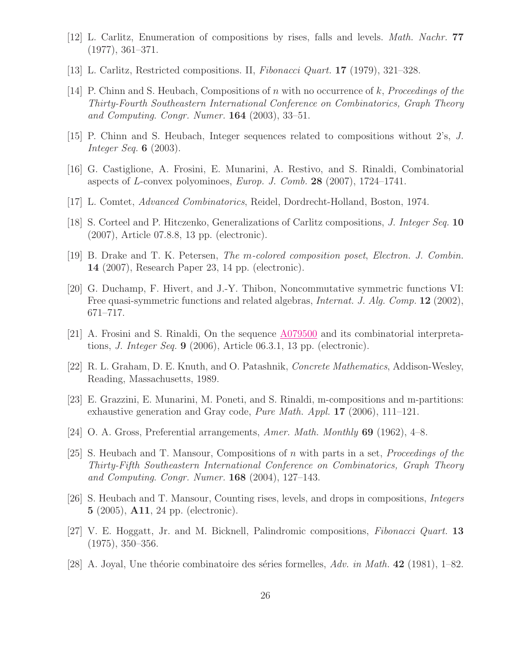- <span id="page-25-1"></span><span id="page-25-0"></span>[12] L. Carlitz, Enumeration of compositions by rises, falls and levels. Math. Nachr. 77 (1977), 361–371.
- <span id="page-25-4"></span>[13] L. Carlitz, Restricted compositions. II, Fibonacci Quart. 17 (1979), 321–328.
- [14] P. Chinn and S. Heubach, Compositions of n with no occurrence of k, Proceedings of the Thirty-Fourth Southeastern International Conference on Combinatorics, Graph Theory and Computing. Congr. Numer.  $164$  (2003), 33-51.
- <span id="page-25-16"></span><span id="page-25-11"></span>[15] P. Chinn and S. Heubach, Integer sequences related to compositions without 2's, J. Integer Seq. 6 (2003).
- <span id="page-25-2"></span>[16] G. Castiglione, A. Frosini, E. Munarini, A. Restivo, and S. Rinaldi, Combinatorial aspects of L-convex polyominoes, Europ. J. Comb. 28 (2007), 1724–1741.
- <span id="page-25-5"></span>[17] L. Comtet, Advanced Combinatorics, Reidel, Dordrecht-Holland, Boston, 1974.
- <span id="page-25-9"></span>[18] S. Corteel and P. Hitczenko, Generalizations of Carlitz compositions, J. Integer Seq. 10 (2007), Article 07.8.8, 13 pp. (electronic).
- <span id="page-25-10"></span>[19] B. Drake and T. K. Petersen, The m-colored composition poset, Electron. J. Combin. 14 (2007), Research Paper 23, 14 pp. (electronic).
- [20] G. Duchamp, F. Hivert, and J.-Y. Thibon, Noncommutative symmetric functions VI: Free quasi-symmetric functions and related algebras, *Internat. J. Alg. Comp.* 12 (2002), 671–717.
- <span id="page-25-13"></span><span id="page-25-6"></span>[21] A. Frosini and S. Rinaldi, On the sequence [A079500](http://www.research.att.com/cgi-bin/access.cgi/as/~njas/sequences/eisA.cgi?Anum=A079500) and its combinatorial interpretations, J. Integer Seq. 9 (2006), Article 06.3.1, 13 pp. (electronic).
- <span id="page-25-12"></span>[22] R. L. Graham, D. E. Knuth, and O. Patashnik, Concrete Mathematics, Addison-Wesley, Reading, Massachusetts, 1989.
- [23] E. Grazzini, E. Munarini, M. Poneti, and S. Rinaldi, m-compositions and m-partitions: exhaustive generation and Gray code, Pure Math. Appl. 17 (2006), 111–121.
- <span id="page-25-14"></span><span id="page-25-7"></span>[24] O. A. Gross, Preferential arrangements, Amer. Math. Monthly 69 (1962), 4–8.
- [25] S. Heubach and T. Mansour, Compositions of n with parts in a set, Proceedings of the Thirty-Fifth Southeastern International Conference on Combinatorics, Graph Theory and Computing. Congr. Numer.  $168$  (2004), 127–143.
- <span id="page-25-8"></span>[26] S. Heubach and T. Mansour, Counting rises, levels, and drops in compositions, Integers 5 (2005), A11, 24 pp. (electronic).
- <span id="page-25-3"></span>[27] V. E. Hoggatt, Jr. and M. Bicknell, Palindromic compositions, Fibonacci Quart. 13 (1975), 350–356.
- <span id="page-25-15"></span>[28] A. Joyal, Une théorie combinatoire des séries formelles,  $Adv.$  in Math. 42 (1981), 1–82.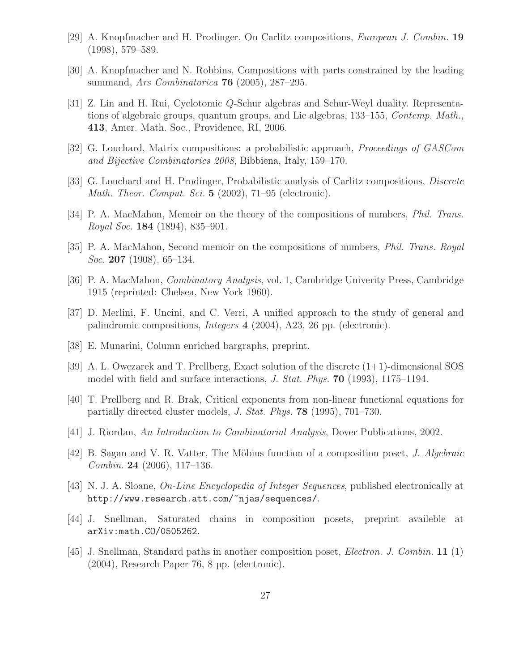- <span id="page-26-1"></span><span id="page-26-0"></span>[29] A. Knopfmacher and H. Prodinger, On Carlitz compositions, European J. Combin. 19 (1998), 579–589.
- <span id="page-26-9"></span>[30] A. Knopfmacher and N. Robbins, Compositions with parts constrained by the leading summand, Ars Combinatorica 76 (2005), 287–295.
- [31] Z. Lin and H. Rui, Cyclotomic Q-Schur algebras and Schur-Weyl duality. Representations of algebraic groups, quantum groups, and Lie algebras, 133–155, *Contemp. Math.*, 413, Amer. Math. Soc., Providence, RI, 2006.
- <span id="page-26-15"></span><span id="page-26-10"></span>[32] G. Louchard, Matrix compositions: a probabilistic approach, Proceedings of GASCom and Bijective Combinatorics 2008, Bibbiena, Italy, 159–170.
- <span id="page-26-6"></span>[33] G. Louchard and H. Prodinger, Probabilistic analysis of Carlitz compositions, Discrete Math. Theor. Comput. Sci. 5 (2002), 71–95 (electronic).
- <span id="page-26-7"></span>[34] P. A. MacMahon, Memoir on the theory of the compositions of numbers, *Phil. Trans.* Royal Soc. 184 (1894), 835–901.
- <span id="page-26-8"></span>[35] P. A. MacMahon, Second memoir on the compositions of numbers, Phil. Trans. Royal *Soc.* **207** (1908), 65–134.
- <span id="page-26-2"></span>[36] P. A. MacMahon, Combinatory Analysis, vol. 1, Cambridge Univerity Press, Cambridge 1915 (reprinted: Chelsea, New York 1960).
- <span id="page-26-16"></span>[37] D. Merlini, F. Uncini, and C. Verri, A unified approach to the study of general and palindromic compositions, Integers 4 (2004), A23, 26 pp. (electronic).
- <span id="page-26-13"></span>[38] E. Munarini, Column enriched bargraphs, preprint.
- <span id="page-26-14"></span>[39] A. L. Owczarek and T. Prellberg, Exact solution of the discrete (1+1)-dimensional SOS model with field and surface interactions, J. Stat. Phys. 70 (1993), 1175–1194.
- [40] T. Prellberg and R. Brak, Critical exponents from non-linear functional equations for partially directed cluster models, J. Stat. Phys. 78 (1995), 701–730.
- <span id="page-26-12"></span><span id="page-26-3"></span>[41] J. Riordan, An Introduction to Combinatorial Analysis, Dover Publications, 2002.
- <span id="page-26-11"></span>[42] B. Sagan and V. R. Vatter, The Möbius function of a composition poset, J. Algebraic Combin. 24 (2006), 117–136.
- <span id="page-26-4"></span>[43] N. J. A. Sloane, On-Line Encyclopedia of Integer Sequences, published electronically at http://www.research.att.com/~njas/sequences/.
- <span id="page-26-5"></span>[44] J. Snellman, Saturated chains in composition posets, preprint availeble at arXiv:math.CO/0505262.
- [45] J. Snellman, Standard paths in another composition poset, Electron. J. Combin. 11 (1) (2004), Research Paper 76, 8 pp. (electronic).